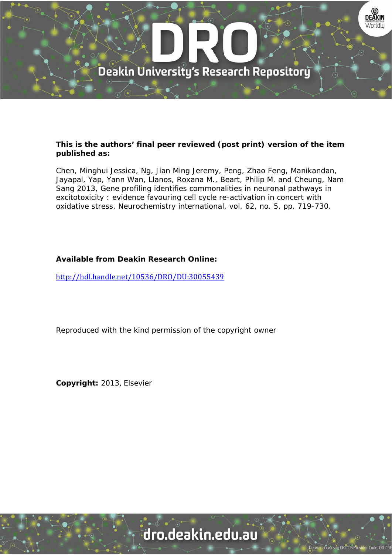

#### **This is the authors' final peer reviewed (post print) version of the item published as:**

Chen, Minghui Jessica, Ng, Jian Ming Jeremy, Peng, Zhao Feng, Manikandan, Jayapal, Yap, Yann Wan, Llanos, Roxana M., Beart, Philip M. and Cheung, Nam Sang 2013, Gene profiling identifies commonalities in neuronal pathways in excitotoxicity : evidence favouring cell cycle re-activation in concert with oxidative stress, Neurochemistry international, vol. 62, no. 5, pp. 719-730.

### **Available from Deakin Research Online:**

http://hdl.handle.net/10536/DRO/DU:30055439

Reproduced with the kind permission of the copyright owner

**Copyright:** 2013, Elsevier

# dro.deakin.edu.au

ty CRICOS Pro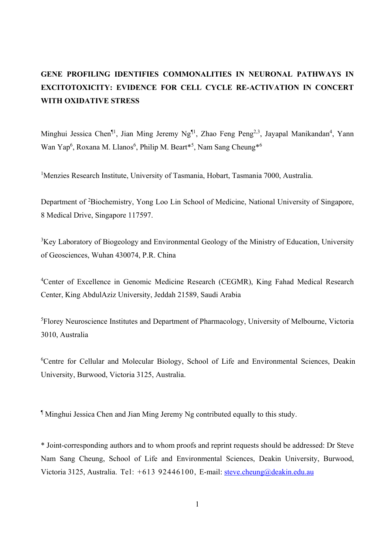### **GENE PROFILING IDENTIFIES COMMONALITIES IN NEURONAL PATHWAYS IN EXCITOTOXICITY: EVIDENCE FOR CELL CYCLE RE-ACTIVATION IN CONCERT WITH OXIDATIVE STRESS**

Minghui Jessica Chen<sup>¶1</sup>, Jian Ming Jeremy Ng<sup>¶1</sup>, Zhao Feng Peng<sup>2,3</sup>, Jayapal Manikandan<sup>4</sup>, Yann Wan Yap<sup>6</sup>, Roxana M. Llanos<sup>6</sup>, Philip M. Beart<sup>\*5</sup>, Nam Sang Cheung<sup>\*6</sup>

<sup>1</sup>Menzies Research Institute, University of Tasmania, Hobart, Tasmania 7000, Australia.

Department of <sup>2</sup>Biochemistry, Yong Loo Lin School of Medicine, National University of Singapore, 8 Medical Drive, Singapore 117597.

<sup>3</sup>Key Laboratory of Biogeology and Environmental Geology of the Ministry of Education, University of Geosciences, Wuhan 430074, P.R. China

<sup>4</sup>Center of Excellence in Genomic Medicine Research (CEGMR), King Fahad Medical Research Center, King AbdulAziz University, Jeddah 21589, Saudi Arabia

<sup>5</sup>Florey Neuroscience Institutes and Department of Pharmacology, University of Melbourne, Victoria 3010, Australia

6 Centre for Cellular and Molecular Biology, School of Life and Environmental Sciences, Deakin University, Burwood, Victoria 3125, Australia.

¶ Minghui Jessica Chen and Jian Ming Jeremy Ng contributed equally to this study.

\* Joint-corresponding authors and to whom proofs and reprint requests should be addressed: Dr Steve Nam Sang Cheung, School of Life and Environmental Sciences, Deakin University, Burwood, Victoria 3125, Australia. Tel: +613 92446100, E-mail: steve.cheung@deakin.edu.au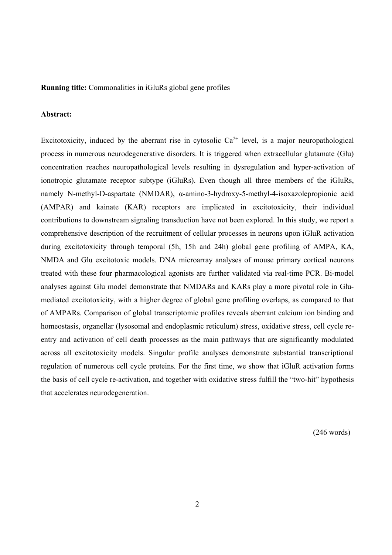**Running title:** Commonalities in iGluRs global gene profiles

#### **Abstract:**

Excitotoxicity, induced by the aberrant rise in cytosolic  $Ca^{2+}$  level, is a major neuropathological process in numerous neurodegenerative disorders. It is triggered when extracellular glutamate (Glu) concentration reaches neuropathological levels resulting in dysregulation and hyper-activation of ionotropic glutamate receptor subtype (iGluRs). Even though all three members of the iGluRs, namely N-methyl-D-aspartate (NMDAR), α-amino-3-hydroxy-5-methyl-4-isoxazolepropionic acid (AMPAR) and kainate (KAR) receptors are implicated in excitotoxicity, their individual contributions to downstream signaling transduction have not been explored. In this study, we report a comprehensive description of the recruitment of cellular processes in neurons upon iGluR activation during excitotoxicity through temporal (5h, 15h and 24h) global gene profiling of AMPA, KA, NMDA and Glu excitotoxic models. DNA microarray analyses of mouse primary cortical neurons treated with these four pharmacological agonists are further validated via real-time PCR. Bi-model analyses against Glu model demonstrate that NMDARs and KARs play a more pivotal role in Glumediated excitotoxicity, with a higher degree of global gene profiling overlaps, as compared to that of AMPARs. Comparison of global transcriptomic profiles reveals aberrant calcium ion binding and homeostasis, organellar (lysosomal and endoplasmic reticulum) stress, oxidative stress, cell cycle reentry and activation of cell death processes as the main pathways that are significantly modulated across all excitotoxicity models. Singular profile analyses demonstrate substantial transcriptional regulation of numerous cell cycle proteins. For the first time, we show that iGluR activation forms the basis of cell cycle re-activation, and together with oxidative stress fulfill the "two-hit" hypothesis that accelerates neurodegeneration.

(246 words)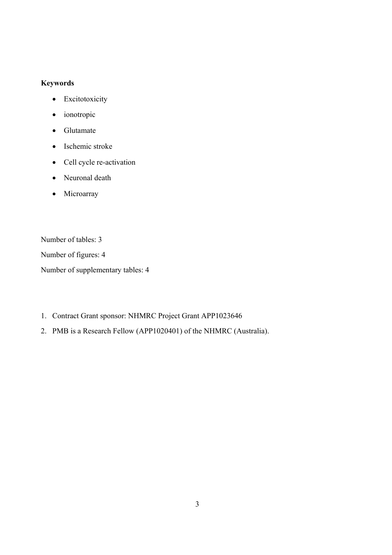#### **Keywords**

- Excitotoxicity
- ionotropic
- Glutamate
- Ischemic stroke
- Cell cycle re-activation
- Neuronal death
- Microarray

Number of tables: 3

Number of figures: 4

Number of supplementary tables: 4

- 1. Contract Grant sponsor: NHMRC Project Grant APP1023646
- 2. PMB is a Research Fellow (APP1020401) of the NHMRC (Australia).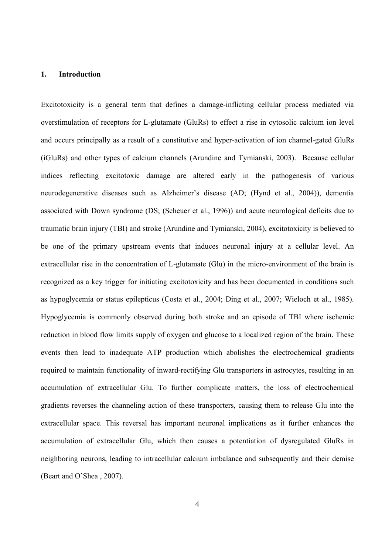#### **1. Introduction**

Excitotoxicity is a general term that defines a damage-inflicting cellular process mediated via overstimulation of receptors for L-glutamate (GluRs) to effect a rise in cytosolic calcium ion level and occurs principally as a result of a constitutive and hyper-activation of ion channel-gated GluRs (iGluRs) and other types of calcium channels (Arundine and Tymianski, 2003). Because cellular indices reflecting excitotoxic damage are altered early in the pathogenesis of various neurodegenerative diseases such as Alzheimer's disease (AD; (Hynd et al., 2004)), dementia associated with Down syndrome (DS; (Scheuer et al., 1996)) and acute neurological deficits due to traumatic brain injury (TBI) and stroke (Arundine and Tymianski, 2004), excitotoxicity is believed to be one of the primary upstream events that induces neuronal injury at a cellular level. An extracellular rise in the concentration of L-glutamate (Glu) in the micro-environment of the brain is recognized as a key trigger for initiating excitotoxicity and has been documented in conditions such as hypoglycemia or status epilepticus (Costa et al., 2004; Ding et al., 2007; Wieloch et al., 1985). Hypoglycemia is commonly observed during both stroke and an episode of TBI where ischemic reduction in blood flow limits supply of oxygen and glucose to a localized region of the brain. These events then lead to inadequate ATP production which abolishes the electrochemical gradients required to maintain functionality of inward-rectifying Glu transporters in astrocytes, resulting in an accumulation of extracellular Glu. To further complicate matters, the loss of electrochemical gradients reverses the channeling action of these transporters, causing them to release Glu into the extracellular space. This reversal has important neuronal implications as it further enhances the accumulation of extracellular Glu, which then causes a potentiation of dysregulated GluRs in neighboring neurons, leading to intracellular calcium imbalance and subsequently and their demise (Beart and O'Shea , 2007).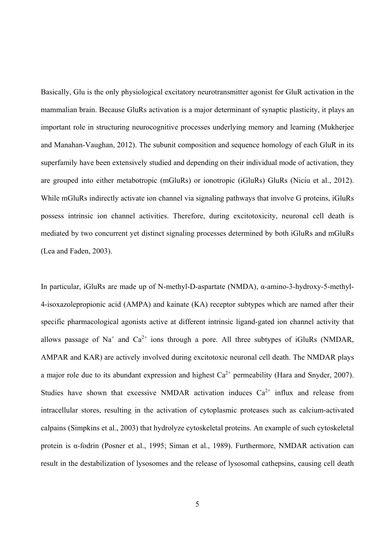Basically, Glu is the only physiological excitatory neurotransmitter agonist for GluR activation in the mammalian brain. Because GluRs activation is a major determinant of synaptic plasticity, it plays an important role in structuring neurocognitive processes underlying memory and learning (Mukherjee and Manahan-Vaughan, 2012). The subunit composition and sequence homology of each GluR in its superfamily have been extensively studied and depending on their individual mode of activation, they are grouped into either metabotropic (mGluRs) or ionotropic (iGluRs) GluRs (Niciu et al., 2012). While mGluRs indirectly activate ion channel via signaling pathways that involve G proteins, iGluRs possess intrinsic ion channel activities. Therefore, during excitotoxicity, neuronal cell death is mediated by two concurrent yet distinct signaling processes determined by both iGluRs and mGluRs (Lea and Faden, 2003).

In particular, iGluRs are made up of N-methyl-D-aspartate (NMDA), α-amino-3-hydroxy-5-methyl-4-isoxazolepropionic acid (AMPA) and kainate (KA) receptor subtypes which are named after their specific pharmacological agonists active at different intrinsic ligand-gated ion channel activity that allows passage of Na<sup>+</sup> and Ca<sup>2+</sup> ions through a pore. All three subtypes of iGluRs (NMDAR, AMPAR and KAR) are actively involved during excitotoxic neuronal cell death. The NMDAR plays a major role due to its abundant expression and highest  $Ca^{2+}$  permeability (Hara and Snyder, 2007). Studies have shown that excessive NMDAR activation induces  $Ca^{2+}$  influx and release from intracellular stores, resulting in the activation of cytoplasmic proteases such as calcium-activated calpains (Simpkins et al., 2003) that hydrolyze cytoskeletal proteins. An example of such cytoskeletal protein is α-fodrin (Posner et al., 1995; Siman et al., 1989). Furthermore, NMDAR activation can result in the destabilization of lysosomes and the release of lysosomal cathepsins, causing cell death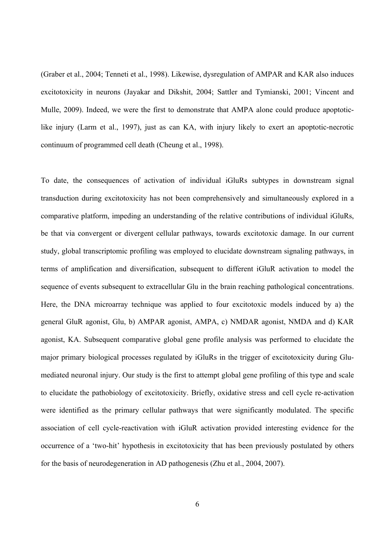(Graber et al., 2004; Tenneti et al., 1998). Likewise, dysregulation of AMPAR and KAR also induces excitotoxicity in neurons (Jayakar and Dikshit, 2004; Sattler and Tymianski, 2001; Vincent and Mulle, 2009). Indeed, we were the first to demonstrate that AMPA alone could produce apoptoticlike injury (Larm et al., 1997), just as can KA, with injury likely to exert an apoptotic-necrotic continuum of programmed cell death (Cheung et al., 1998).

To date, the consequences of activation of individual iGluRs subtypes in downstream signal transduction during excitotoxicity has not been comprehensively and simultaneously explored in a comparative platform, impeding an understanding of the relative contributions of individual iGluRs, be that via convergent or divergent cellular pathways, towards excitotoxic damage. In our current study, global transcriptomic profiling was employed to elucidate downstream signaling pathways, in terms of amplification and diversification, subsequent to different iGluR activation to model the sequence of events subsequent to extracellular Glu in the brain reaching pathological concentrations. Here, the DNA microarray technique was applied to four excitotoxic models induced by a) the general GluR agonist, Glu, b) AMPAR agonist, AMPA, c) NMDAR agonist, NMDA and d) KAR agonist, KA. Subsequent comparative global gene profile analysis was performed to elucidate the major primary biological processes regulated by iGluRs in the trigger of excitotoxicity during Glumediated neuronal injury. Our study is the first to attempt global gene profiling of this type and scale to elucidate the pathobiology of excitotoxicity. Briefly, oxidative stress and cell cycle re-activation were identified as the primary cellular pathways that were significantly modulated. The specific association of cell cycle-reactivation with iGluR activation provided interesting evidence for the occurrence of a 'two-hit' hypothesis in excitotoxicity that has been previously postulated by others for the basis of neurodegeneration in AD pathogenesis (Zhu et al., 2004, 2007).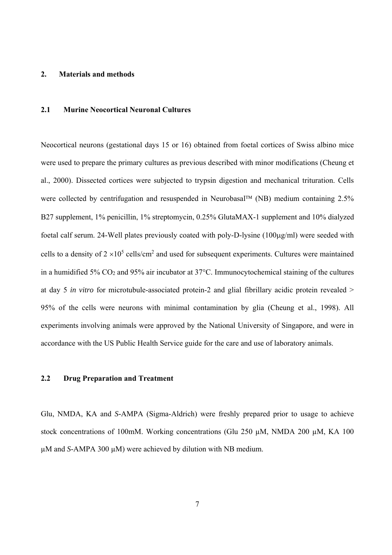#### **2. Materials and methods**

#### **2.1 Murine Neocortical Neuronal Cultures**

Neocortical neurons (gestational days 15 or 16) obtained from foetal cortices of Swiss albino mice were used to prepare the primary cultures as previous described with minor modifications (Cheung et al., 2000). Dissected cortices were subjected to trypsin digestion and mechanical trituration. Cells were collected by centrifugation and resuspended in Neurobasal<sup>TM</sup> (NB) medium containing 2.5% B27 supplement, 1% penicillin, 1% streptomycin, 0.25% GlutaMAX-1 supplement and 10% dialyzed foetal calf serum. 24-Well plates previously coated with poly-D-lysine (100µg/ml) were seeded with cells to a density of  $2 \times 10^5$  cells/cm<sup>2</sup> and used for subsequent experiments. Cultures were maintained in a humidified 5% CO2 and 95% air incubator at 37°C. Immunocytochemical staining of the cultures at day 5 *in vitro* for microtubule-associated protein-2 and glial fibrillary acidic protein revealed > 95% of the cells were neurons with minimal contamination by glia (Cheung et al., 1998). All experiments involving animals were approved by the National University of Singapore, and were in accordance with the US Public Health Service guide for the care and use of laboratory animals.

#### **2.2 Drug Preparation and Treatment**

Glu, NMDA, KA and *S-*AMPA (Sigma-Aldrich) were freshly prepared prior to usage to achieve stock concentrations of 100mM. Working concentrations (Glu 250 µM, NMDA 200 µM, KA 100 µM and *S*-AMPA 300 µM) were achieved by dilution with NB medium.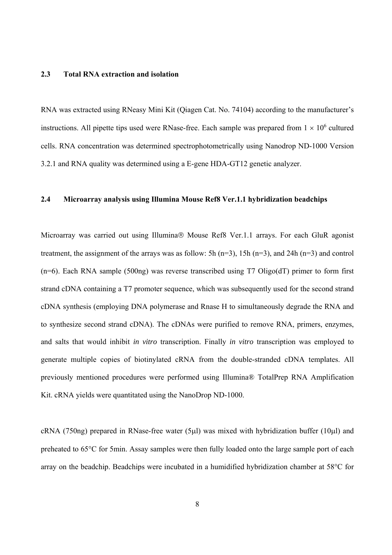#### **2.3 Total RNA extraction and isolation**

RNA was extracted using RNeasy Mini Kit (Qiagen Cat. No. 74104) according to the manufacturer's instructions. All pipette tips used were RNase-free. Each sample was prepared from  $1 \times 10^6$  cultured cells. RNA concentration was determined spectrophotometrically using Nanodrop ND-1000 Version 3.2.1 and RNA quality was determined using a E-gene HDA-GT12 genetic analyzer.

#### **2.4 Microarray analysis using Illumina Mouse Ref8 Ver.1.1 hybridization beadchips**

Microarray was carried out using Illumina® Mouse Ref8 Ver.1.1 arrays. For each GluR agonist treatment, the assignment of the arrays was as follow: 5h ( $n=3$ ), 15h ( $n=3$ ), and 24h ( $n=3$ ) and control  $(n=6)$ . Each RNA sample (500ng) was reverse transcribed using T7 Oligo(dT) primer to form first strand cDNA containing a T7 promoter sequence, which was subsequently used for the second strand cDNA synthesis (employing DNA polymerase and Rnase H to simultaneously degrade the RNA and to synthesize second strand cDNA). The cDNAs were purified to remove RNA, primers, enzymes, and salts that would inhibit *in vitro* transcription. Finally *in vitro* transcription was employed to generate multiple copies of biotinylated cRNA from the double-stranded cDNA templates. All previously mentioned procedures were performed using Illumina® TotalPrep RNA Amplification Kit. cRNA yields were quantitated using the NanoDrop ND-1000.

cRNA (750ng) prepared in RNase-free water (5 $\mu$ l) was mixed with hybridization buffer (10 $\mu$ l) and preheated to 65°C for 5min. Assay samples were then fully loaded onto the large sample port of each array on the beadchip. Beadchips were incubated in a humidified hybridization chamber at 58°C for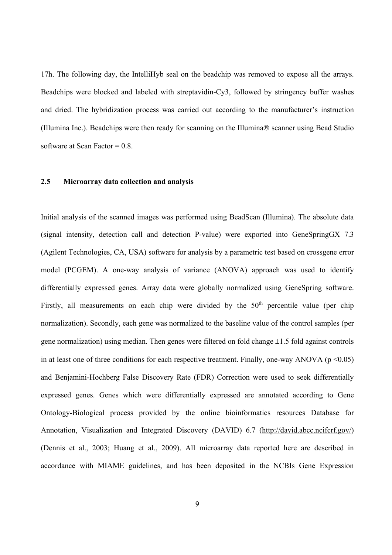17h. The following day, the IntelliHyb seal on the beadchip was removed to expose all the arrays. Beadchips were blocked and labeled with streptavidin-Cy3, followed by stringency buffer washes and dried. The hybridization process was carried out according to the manufacturer's instruction (Illumina Inc.). Beadchips were then ready for scanning on the Illumina $\otimes$  scanner using Bead Studio software at Scan Factor  $= 0.8$ .

#### **2.5 Microarray data collection and analysis**

Initial analysis of the scanned images was performed using BeadScan (Illumina). The absolute data (signal intensity, detection call and detection P-value) were exported into GeneSpringGX 7.3 (Agilent Technologies, CA, USA) software for analysis by a parametric test based on crossgene error model (PCGEM). A one-way analysis of variance (ANOVA) approach was used to identify differentially expressed genes. Array data were globally normalized using GeneSpring software. Firstly, all measurements on each chip were divided by the  $50<sup>th</sup>$  percentile value (per chip normalization). Secondly, each gene was normalized to the baseline value of the control samples (per gene normalization) using median. Then genes were filtered on fold change  $\pm 1.5$  fold against controls in at least one of three conditions for each respective treatment. Finally, one-way ANOVA ( $p \le 0.05$ ) and Benjamini-Hochberg False Discovery Rate (FDR) Correction were used to seek differentially expressed genes. Genes which were differentially expressed are annotated according to Gene Ontology-Biological process provided by the online bioinformatics resources Database for Annotation, Visualization and Integrated Discovery (DAVID) 6.7 (http://david.abcc.ncifcrf.gov/) (Dennis et al., 2003; Huang et al., 2009). All microarray data reported here are described in accordance with MIAME guidelines, and has been deposited in the NCBIs Gene Expression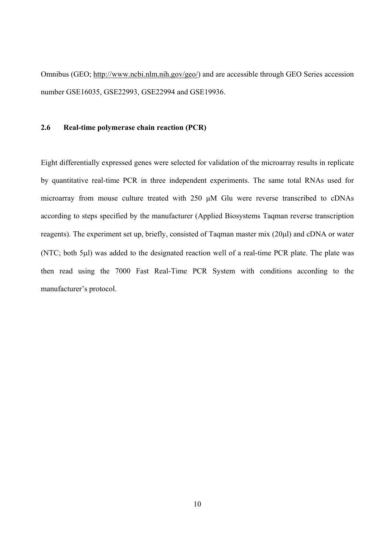Omnibus (GEO; http://www.ncbi.nlm.nih.gov/geo/) and are accessible through GEO Series accession number GSE16035, GSE22993, GSE22994 and GSE19936.

#### **2.6 Real-time polymerase chain reaction (PCR)**

Eight differentially expressed genes were selected for validation of the microarray results in replicate by quantitative real-time PCR in three independent experiments. The same total RNAs used for microarray from mouse culture treated with 250 μM Glu were reverse transcribed to cDNAs according to steps specified by the manufacturer (Applied Biosystems Taqman reverse transcription reagents). The experiment set up, briefly, consisted of Taqman master mix (20µl) and cDNA or water (NTC; both 5µl) was added to the designated reaction well of a real-time PCR plate. The plate was then read using the 7000 Fast Real-Time PCR System with conditions according to the manufacturer's protocol.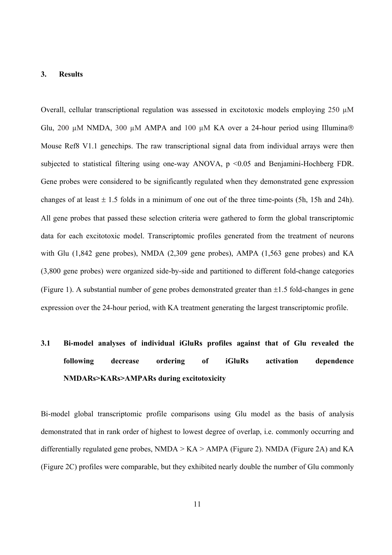#### **3. Results**

Overall, cellular transcriptional regulation was assessed in excitotoxic models employing 250 µM Glu, 200  $\mu$ M NMDA, 300  $\mu$ M AMPA and 100  $\mu$ M KA over a 24-hour period using Illumina® Mouse Ref8 V1.1 genechips. The raw transcriptional signal data from individual arrays were then subjected to statistical filtering using one-way ANOVA, p <0.05 and Benjamini-Hochberg FDR. Gene probes were considered to be significantly regulated when they demonstrated gene expression changes of at least  $\pm$  1.5 folds in a minimum of one out of the three time-points (5h, 15h and 24h). All gene probes that passed these selection criteria were gathered to form the global transcriptomic data for each excitotoxic model. Transcriptomic profiles generated from the treatment of neurons with Glu (1,842 gene probes), NMDA (2,309 gene probes), AMPA (1,563 gene probes) and KA (3,800 gene probes) were organized side-by-side and partitioned to different fold-change categories (Figure 1). A substantial number of gene probes demonstrated greater than  $\pm 1.5$  fold-changes in gene expression over the 24-hour period, with KA treatment generating the largest transcriptomic profile.

## **3.1 Bi-model analyses of individual iGluRs profiles against that of Glu revealed the following decrease ordering of iGluRs activation dependence NMDARs>KARs>AMPARs during excitotoxicity**

Bi-model global transcriptomic profile comparisons using Glu model as the basis of analysis demonstrated that in rank order of highest to lowest degree of overlap, i.e. commonly occurring and differentially regulated gene probes,  $NMDA > KA > AMPA$  (Figure 2). NMDA (Figure 2A) and KA (Figure 2C) profiles were comparable, but they exhibited nearly double the number of Glu commonly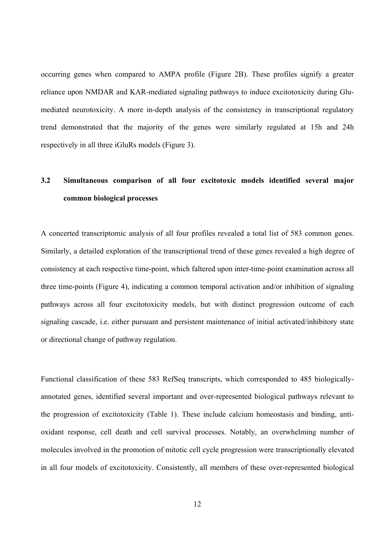occurring genes when compared to AMPA profile (Figure 2B). These profiles signify a greater reliance upon NMDAR and KAR-mediated signaling pathways to induce excitotoxicity during Glumediated neurotoxicity. A more in-depth analysis of the consistency in transcriptional regulatory trend demonstrated that the majority of the genes were similarly regulated at 15h and 24h respectively in all three iGluRs models (Figure 3).

## **3.2 Simultaneous comparison of all four excitotoxic models identified several major common biological processes**

A concerted transcriptomic analysis of all four profiles revealed a total list of 583 common genes. Similarly, a detailed exploration of the transcriptional trend of these genes revealed a high degree of consistency at each respective time-point, which faltered upon inter-time-point examination across all three time-points (Figure 4), indicating a common temporal activation and/or inhibition of signaling pathways across all four excitotoxicity models, but with distinct progression outcome of each signaling cascade, i.e. either pursuant and persistent maintenance of initial activated/inhibitory state or directional change of pathway regulation.

Functional classification of these 583 RefSeq transcripts, which corresponded to 485 biologicallyannotated genes, identified several important and over-represented biological pathways relevant to the progression of excitotoxicity (Table 1). These include calcium homeostasis and binding, antioxidant response, cell death and cell survival processes. Notably, an overwhelming number of molecules involved in the promotion of mitotic cell cycle progression were transcriptionally elevated in all four models of excitotoxicity. Consistently, all members of these over-represented biological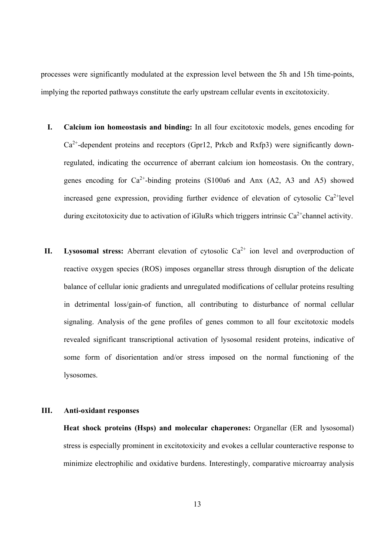processes were significantly modulated at the expression level between the 5h and 15h time-points, implying the reported pathways constitute the early upstream cellular events in excitotoxicity.

- **I. Calcium ion homeostasis and binding:** In all four excitotoxic models, genes encoding for  $Ca<sup>2+</sup>$ -dependent proteins and receptors (Gpr12, Prkcb and Rxfp3) were significantly downregulated, indicating the occurrence of aberrant calcium ion homeostasis. On the contrary, genes encoding for  $Ca^{2+}$ -binding proteins (S100a6 and Anx (A2, A3 and A5) showed increased gene expression, providing further evidence of elevation of cytosolic  $Ca^{2+}$ level during excitotoxicity due to activation of iGluRs which triggers intrinsic  $Ca^{2+}$ channel activity.
- **II. Lysosomal stress:** Aberrant elevation of cytosolic  $Ca^{2+}$  ion level and overproduction of reactive oxygen species (ROS) imposes organellar stress through disruption of the delicate balance of cellular ionic gradients and unregulated modifications of cellular proteins resulting in detrimental loss/gain-of function, all contributing to disturbance of normal cellular signaling. Analysis of the gene profiles of genes common to all four excitotoxic models revealed significant transcriptional activation of lysosomal resident proteins, indicative of some form of disorientation and/or stress imposed on the normal functioning of the lysosomes.

#### **III. Anti-oxidant responses**

**Heat shock proteins (Hsps) and molecular chaperones:** Organellar (ER and lysosomal) stress is especially prominent in excitotoxicity and evokes a cellular counteractive response to minimize electrophilic and oxidative burdens. Interestingly, comparative microarray analysis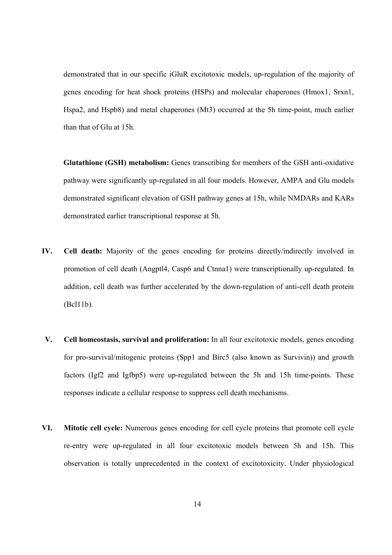demonstrated that in our specific iGluR excitotoxic models, up-regulation of the majority of genes encoding for heat shock proteins (HSPs) and molecular chaperones (Hmox1, Srxn1, Hspa2, and Hspb8) and metal chaperones (Mt3) occurred at the 5h time-point, much earlier than that of Glu at 15h.

**Glutathione (GSH) metabolism:** Genes transcribing for members of the GSH anti-oxidative pathway were significantly up-regulated in all four models. However, AMPA and Glu models demonstrated significant elevation of GSH pathway genes at 15h, while NMDARs and KARs demonstrated earlier transcriptional response at 5h.

- **IV. Cell death:** Majority of the genes encoding for proteins directly/indirectly involved in promotion of cell death (Angptl4, Casp6 and Ctnna1) were transcriptionally up-regulated. In addition, cell death was further accelerated by the down-regulation of anti-cell death protein (Bcl11b).
- **V. Cell homeostasis, survival and proliferation:** In all four excitotoxic models, genes encoding for pro-survival/mitogenic proteins (Spp1 and Birc5 (also known as Survivin)) and growth factors (Igf2 and Igfbp5) were up-regulated between the 5h and 15h time-points. These responses indicate a cellular response to suppress cell death mechanisms.
- **VI. Mitotic cell cycle:** Numerous genes encoding for cell cycle proteins that promote cell cycle re-entry were up-regulated in all four excitotoxic models between 5h and 15h. This observation is totally unprecedented in the context of excitotoxicity. Under physiological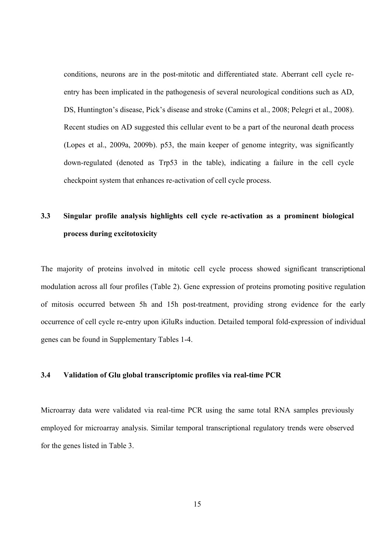conditions, neurons are in the post-mitotic and differentiated state. Aberrant cell cycle reentry has been implicated in the pathogenesis of several neurological conditions such as AD, DS, Huntington's disease, Pick's disease and stroke (Camins et al., 2008; Pelegri et al., 2008). Recent studies on AD suggested this cellular event to be a part of the neuronal death process (Lopes et al., 2009a, 2009b). p53, the main keeper of genome integrity, was significantly down-regulated (denoted as Trp53 in the table), indicating a failure in the cell cycle checkpoint system that enhances re-activation of cell cycle process.

## **3.3 Singular profile analysis highlights cell cycle re-activation as a prominent biological process during excitotoxicity**

The majority of proteins involved in mitotic cell cycle process showed significant transcriptional modulation across all four profiles (Table 2). Gene expression of proteins promoting positive regulation of mitosis occurred between 5h and 15h post-treatment, providing strong evidence for the early occurrence of cell cycle re-entry upon iGluRs induction. Detailed temporal fold-expression of individual genes can be found in Supplementary Tables 1-4.

#### **3.4 Validation of Glu global transcriptomic profiles via real-time PCR**

Microarray data were validated via real-time PCR using the same total RNA samples previously employed for microarray analysis. Similar temporal transcriptional regulatory trends were observed for the genes listed in Table 3.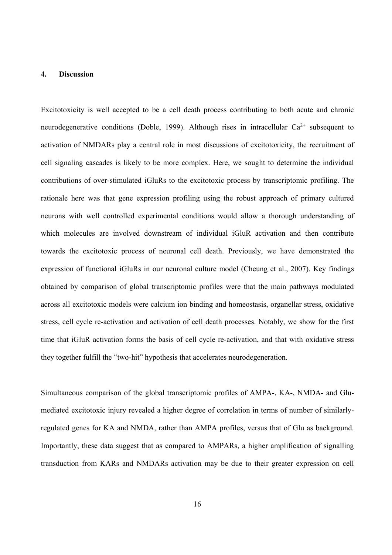#### **4. Discussion**

Excitotoxicity is well accepted to be a cell death process contributing to both acute and chronic neurodegenerative conditions (Doble, 1999). Although rises in intracellular  $Ca^{2+}$  subsequent to activation of NMDARs play a central role in most discussions of excitotoxicity, the recruitment of cell signaling cascades is likely to be more complex. Here, we sought to determine the individual contributions of over-stimulated iGluRs to the excitotoxic process by transcriptomic profiling. The rationale here was that gene expression profiling using the robust approach of primary cultured neurons with well controlled experimental conditions would allow a thorough understanding of which molecules are involved downstream of individual iGluR activation and then contribute towards the excitotoxic process of neuronal cell death. Previously, we have demonstrated the expression of functional iGluRs in our neuronal culture model (Cheung et al., 2007). Key findings obtained by comparison of global transcriptomic profiles were that the main pathways modulated across all excitotoxic models were calcium ion binding and homeostasis, organellar stress, oxidative stress, cell cycle re-activation and activation of cell death processes. Notably, we show for the first time that iGluR activation forms the basis of cell cycle re-activation, and that with oxidative stress they together fulfill the "two-hit" hypothesis that accelerates neurodegeneration.

Simultaneous comparison of the global transcriptomic profiles of AMPA-, KA-, NMDA- and Glumediated excitotoxic injury revealed a higher degree of correlation in terms of number of similarlyregulated genes for KA and NMDA, rather than AMPA profiles, versus that of Glu as background. Importantly, these data suggest that as compared to AMPARs, a higher amplification of signalling transduction from KARs and NMDARs activation may be due to their greater expression on cell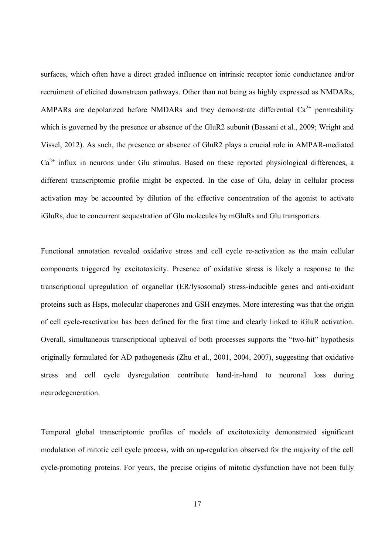surfaces, which often have a direct graded influence on intrinsic receptor ionic conductance and/or recruiment of elicited downstream pathways. Other than not being as highly expressed as NMDARs, AMPARs are depolarized before NMDARs and they demonstrate differential  $Ca^{2+}$  permeability which is governed by the presence or absence of the GluR2 subunit (Bassani et al., 2009; Wright and Vissel, 2012). As such, the presence or absence of GluR2 plays a crucial role in AMPAR-mediated  $Ca<sup>2+</sup>$  influx in neurons under Glu stimulus. Based on these reported physiological differences, a different transcriptomic profile might be expected. In the case of Glu, delay in cellular process activation may be accounted by dilution of the effective concentration of the agonist to activate iGluRs, due to concurrent sequestration of Glu molecules by mGluRs and Glu transporters.

Functional annotation revealed oxidative stress and cell cycle re-activation as the main cellular components triggered by excitotoxicity. Presence of oxidative stress is likely a response to the transcriptional upregulation of organellar (ER/lysosomal) stress-inducible genes and anti-oxidant proteins such as Hsps, molecular chaperones and GSH enzymes. More interesting was that the origin of cell cycle-reactivation has been defined for the first time and clearly linked to iGluR activation. Overall, simultaneous transcriptional upheaval of both processes supports the "two-hit" hypothesis originally formulated for AD pathogenesis (Zhu et al., 2001, 2004, 2007), suggesting that oxidative stress and cell cycle dysregulation contribute hand-in-hand to neuronal loss during neurodegeneration.

Temporal global transcriptomic profiles of models of excitotoxicity demonstrated significant modulation of mitotic cell cycle process, with an up-regulation observed for the majority of the cell cycle-promoting proteins. For years, the precise origins of mitotic dysfunction have not been fully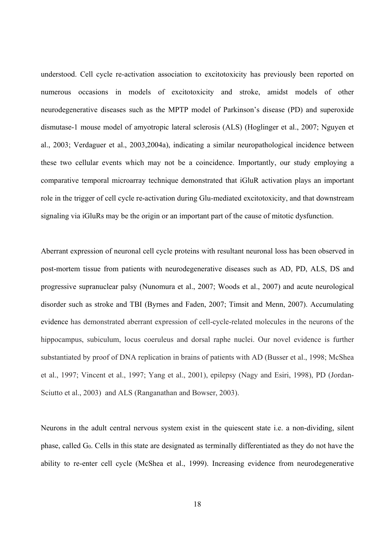understood. Cell cycle re-activation association to excitotoxicity has previously been reported on numerous occasions in models of excitotoxicity and stroke, amidst models of other neurodegenerative diseases such as the MPTP model of Parkinson's disease (PD) and superoxide dismutase-1 mouse model of amyotropic lateral sclerosis (ALS) (Hoglinger et al., 2007; Nguyen et al., 2003; Verdaguer et al., 2003,2004a), indicating a similar neuropathological incidence between these two cellular events which may not be a coincidence. Importantly, our study employing a comparative temporal microarray technique demonstrated that iGluR activation plays an important role in the trigger of cell cycle re-activation during Glu-mediated excitotoxicity, and that downstream signaling via iGluRs may be the origin or an important part of the cause of mitotic dysfunction.

Aberrant expression of neuronal cell cycle proteins with resultant neuronal loss has been observed in post-mortem tissue from patients with neurodegenerative diseases such as AD, PD, ALS, DS and progressive supranuclear palsy (Nunomura et al., 2007; Woods et al., 2007) and acute neurological disorder such as stroke and TBI (Byrnes and Faden, 2007; Timsit and Menn, 2007). Accumulating evidence has demonstrated aberrant expression of cell-cycle-related molecules in the neurons of the hippocampus, subiculum, locus coeruleus and dorsal raphe nuclei. Our novel evidence is further substantiated by proof of DNA replication in brains of patients with AD (Busser et al., 1998; McShea et al., 1997; Vincent et al., 1997; Yang et al., 2001), epilepsy (Nagy and Esiri, 1998), PD (Jordan-Sciutto et al., 2003) and ALS (Ranganathan and Bowser, 2003).

Neurons in the adult central nervous system exist in the quiescent state i.e. a non-dividing, silent phase, called G0. Cells in this state are designated as terminally differentiated as they do not have the ability to re-enter cell cycle (McShea et al., 1999). Increasing evidence from neurodegenerative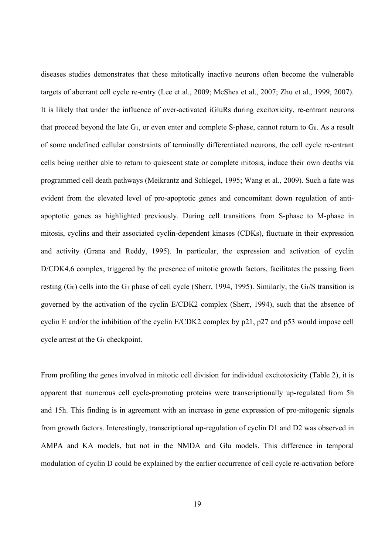diseases studies demonstrates that these mitotically inactive neurons often become the vulnerable targets of aberrant cell cycle re-entry (Lee et al., 2009; McShea et al., 2007; Zhu et al., 1999, 2007). It is likely that under the influence of over-activated iGluRs during excitoxicity, re-entrant neurons that proceed beyond the late  $G_1$ , or even enter and complete S-phase, cannot return to  $G_0$ . As a result of some undefined cellular constraints of terminally differentiated neurons, the cell cycle re-entrant cells being neither able to return to quiescent state or complete mitosis, induce their own deaths via programmed cell death pathways (Meikrantz and Schlegel, 1995; Wang et al., 2009). Such a fate was evident from the elevated level of pro-apoptotic genes and concomitant down regulation of antiapoptotic genes as highlighted previously. During cell transitions from S-phase to M-phase in mitosis, cyclins and their associated cyclin-dependent kinases (CDKs), fluctuate in their expression and activity (Grana and Reddy, 1995). In particular, the expression and activation of cyclin D/CDK4,6 complex, triggered by the presence of mitotic growth factors, facilitates the passing from resting  $(G_0)$  cells into the  $G_1$  phase of cell cycle (Sherr, 1994, 1995). Similarly, the  $G_1/S$  transition is governed by the activation of the cyclin E/CDK2 complex (Sherr, 1994), such that the absence of cyclin E and/or the inhibition of the cyclin E/CDK2 complex by p21, p27 and p53 would impose cell cycle arrest at the G1 checkpoint.

From profiling the genes involved in mitotic cell division for individual excitotoxicity (Table 2), it is apparent that numerous cell cycle-promoting proteins were transcriptionally up-regulated from 5h and 15h. This finding is in agreement with an increase in gene expression of pro-mitogenic signals from growth factors. Interestingly, transcriptional up-regulation of cyclin D1 and D2 was observed in AMPA and KA models, but not in the NMDA and Glu models. This difference in temporal modulation of cyclin D could be explained by the earlier occurrence of cell cycle re-activation before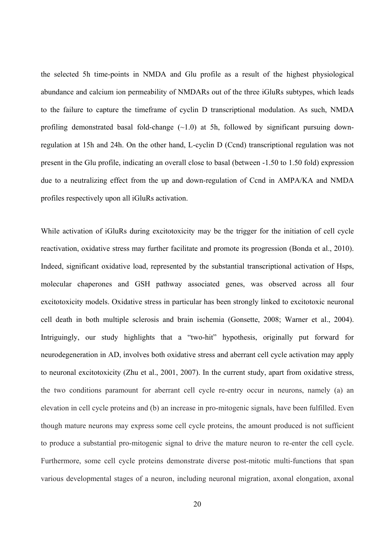the selected 5h time-points in NMDA and Glu profile as a result of the highest physiological abundance and calcium ion permeability of NMDARs out of the three iGluRs subtypes, which leads to the failure to capture the timeframe of cyclin D transcriptional modulation. As such, NMDA profiling demonstrated basal fold-change  $(\sim 1.0)$  at 5h, followed by significant pursuing downregulation at 15h and 24h. On the other hand, L-cyclin D (Ccnd) transcriptional regulation was not present in the Glu profile, indicating an overall close to basal (between -1.50 to 1.50 fold) expression due to a neutralizing effect from the up and down-regulation of Ccnd in AMPA/KA and NMDA profiles respectively upon all iGluRs activation.

While activation of iGluRs during excitotoxicity may be the trigger for the initiation of cell cycle reactivation, oxidative stress may further facilitate and promote its progression (Bonda et al., 2010). Indeed, significant oxidative load, represented by the substantial transcriptional activation of Hsps, molecular chaperones and GSH pathway associated genes, was observed across all four excitotoxicity models. Oxidative stress in particular has been strongly linked to excitotoxic neuronal cell death in both multiple sclerosis and brain ischemia (Gonsette, 2008; Warner et al., 2004). Intriguingly, our study highlights that a "two-hit" hypothesis, originally put forward for neurodegeneration in AD, involves both oxidative stress and aberrant cell cycle activation may apply to neuronal excitotoxicity (Zhu et al., 2001, 2007). In the current study, apart from oxidative stress, the two conditions paramount for aberrant cell cycle re-entry occur in neurons, namely (a) an elevation in cell cycle proteins and (b) an increase in pro-mitogenic signals, have been fulfilled. Even though mature neurons may express some cell cycle proteins, the amount produced is not sufficient to produce a substantial pro-mitogenic signal to drive the mature neuron to re-enter the cell cycle. Furthermore, some cell cycle proteins demonstrate diverse post-mitotic multi-functions that span various developmental stages of a neuron, including neuronal migration, axonal elongation, axonal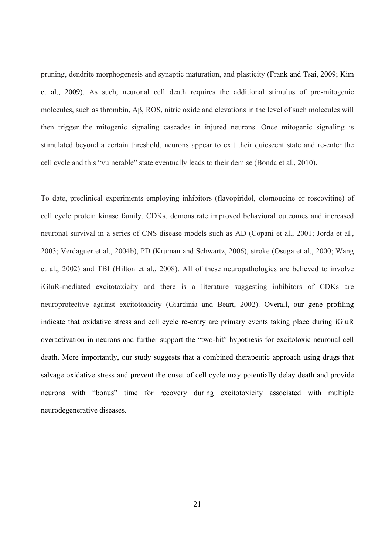pruning, dendrite morphogenesis and synaptic maturation, and plasticity (Frank and Tsai, 2009; Kim et al., 2009). As such, neuronal cell death requires the additional stimulus of pro-mitogenic molecules, such as thrombin, Aβ, ROS, nitric oxide and elevations in the level of such molecules will then trigger the mitogenic signaling cascades in injured neurons. Once mitogenic signaling is stimulated beyond a certain threshold, neurons appear to exit their quiescent state and re-enter the cell cycle and this "vulnerable" state eventually leads to their demise (Bonda et al., 2010).

To date, preclinical experiments employing inhibitors (flavopiridol, olomoucine or roscovitine) of cell cycle protein kinase family, CDKs, demonstrate improved behavioral outcomes and increased neuronal survival in a series of CNS disease models such as AD (Copani et al., 2001; Jorda et al., 2003; Verdaguer et al., 2004b), PD (Kruman and Schwartz, 2006), stroke (Osuga et al., 2000; Wang et al., 2002) and TBI (Hilton et al., 2008). All of these neuropathologies are believed to involve iGluR-mediated excitotoxicity and there is a literature suggesting inhibitors of CDKs are neuroprotective against excitotoxicity (Giardinia and Beart, 2002). Overall, our gene profiling indicate that oxidative stress and cell cycle re-entry are primary events taking place during iGluR overactivation in neurons and further support the "two-hit" hypothesis for excitotoxic neuronal cell death. More importantly, our study suggests that a combined therapeutic approach using drugs that salvage oxidative stress and prevent the onset of cell cycle may potentially delay death and provide neurons with "bonus" time for recovery during excitotoxicity associated with multiple neurodegenerative diseases.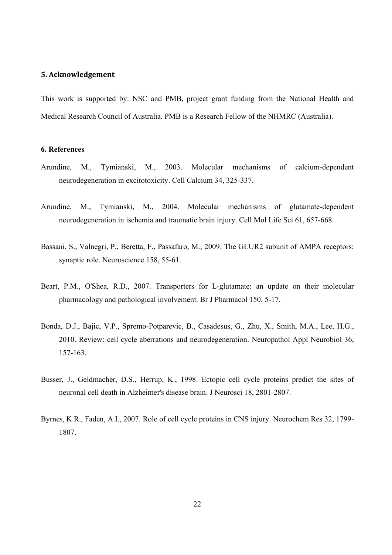#### **5. Acknowledgement**

This work is supported by: NSC and PMB, project grant funding from the National Health and Medical Research Council of Australia. PMB is a Research Fellow of the NHMRC (Australia).

#### **6. References**

- Arundine, M., Tymianski, M., 2003. Molecular mechanisms of calcium-dependent neurodegeneration in excitotoxicity. Cell Calcium 34, 325-337.
- Arundine, M., Tymianski, M., 2004. Molecular mechanisms of glutamate-dependent neurodegeneration in ischemia and traumatic brain injury. Cell Mol Life Sci 61, 657-668.
- Bassani, S., Valnegri, P., Beretta, F., Passafaro, M., 2009. The GLUR2 subunit of AMPA receptors: synaptic role. Neuroscience 158, 55-61.
- Beart, P.M., O'Shea, R.D., 2007. Transporters for L-glutamate: an update on their molecular pharmacology and pathological involvement. Br J Pharmacol 150, 5-17.
- Bonda, D.J., Bajic, V.P., Spremo-Potparevic, B., Casadesus, G., Zhu, X., Smith, M.A., Lee, H.G., 2010. Review: cell cycle aberrations and neurodegeneration. Neuropathol Appl Neurobiol 36, 157-163.
- Busser, J., Geldmacher, D.S., Herrup, K., 1998. Ectopic cell cycle proteins predict the sites of neuronal cell death in Alzheimer's disease brain. J Neurosci 18, 2801-2807.
- Byrnes, K.R., Faden, A.I., 2007. Role of cell cycle proteins in CNS injury. Neurochem Res 32, 1799- 1807.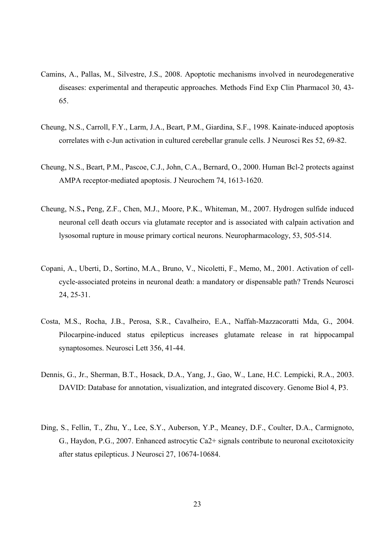- Camins, A., Pallas, M., Silvestre, J.S., 2008. Apoptotic mechanisms involved in neurodegenerative diseases: experimental and therapeutic approaches. Methods Find Exp Clin Pharmacol 30, 43- 65.
- Cheung, N.S., Carroll, F.Y., Larm, J.A., Beart, P.M., Giardina, S.F., 1998. Kainate-induced apoptosis correlates with c-Jun activation in cultured cerebellar granule cells. J Neurosci Res 52, 69-82.
- Cheung, N.S., Beart, P.M., Pascoe, C.J., John, C.A., Bernard, O., 2000. Human Bcl-2 protects against AMPA receptor-mediated apoptosis. J Neurochem 74, 1613-1620.
- Cheung, N.S.**,** Peng, Z.F., Chen, M.J., Moore, P.K., Whiteman, M., 2007. Hydrogen sulfide induced neuronal cell death occurs via glutamate receptor and is associated with calpain activation and lysosomal rupture in mouse primary cortical neurons. Neuropharmacology, 53, 505-514.
- Copani, A., Uberti, D., Sortino, M.A., Bruno, V., Nicoletti, F., Memo, M., 2001. Activation of cellcycle-associated proteins in neuronal death: a mandatory or dispensable path? Trends Neurosci 24, 25-31.
- Costa, M.S., Rocha, J.B., Perosa, S.R., Cavalheiro, E.A., Naffah-Mazzacoratti Mda, G., 2004. Pilocarpine-induced status epilepticus increases glutamate release in rat hippocampal synaptosomes. Neurosci Lett 356, 41-44.
- Dennis, G., Jr., Sherman, B.T., Hosack, D.A., Yang, J., Gao, W., Lane, H.C. Lempicki, R.A., 2003. DAVID: Database for annotation, visualization, and integrated discovery. Genome Biol 4, P3.
- Ding, S., Fellin, T., Zhu, Y., Lee, S.Y., Auberson, Y.P., Meaney, D.F., Coulter, D.A., Carmignoto, G., Haydon, P.G., 2007. Enhanced astrocytic Ca2+ signals contribute to neuronal excitotoxicity after status epilepticus. J Neurosci 27, 10674-10684.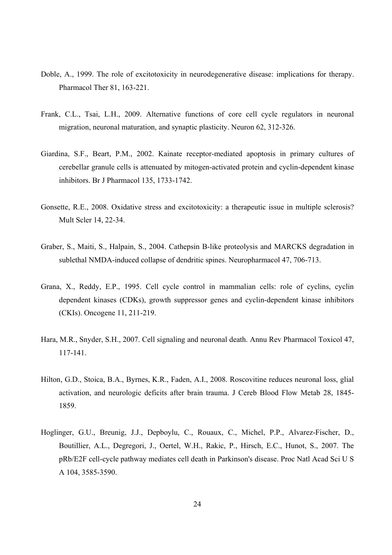- Doble, A., 1999. The role of excitotoxicity in neurodegenerative disease: implications for therapy. Pharmacol Ther 81, 163-221.
- Frank, C.L., Tsai, L.H., 2009. Alternative functions of core cell cycle regulators in neuronal migration, neuronal maturation, and synaptic plasticity. Neuron 62, 312-326.
- Giardina, S.F., Beart, P.M., 2002. Kainate receptor-mediated apoptosis in primary cultures of cerebellar granule cells is attenuated by mitogen-activated protein and cyclin-dependent kinase inhibitors. Br J Pharmacol 135, 1733-1742.
- Gonsette, R.E., 2008. Oxidative stress and excitotoxicity: a therapeutic issue in multiple sclerosis? Mult Scler 14, 22-34.
- Graber, S., Maiti, S., Halpain, S., 2004. Cathepsin B-like proteolysis and MARCKS degradation in sublethal NMDA-induced collapse of dendritic spines. Neuropharmacol 47, 706-713.
- Grana, X., Reddy, E.P., 1995. Cell cycle control in mammalian cells: role of cyclins, cyclin dependent kinases (CDKs), growth suppressor genes and cyclin-dependent kinase inhibitors (CKIs). Oncogene 11, 211-219.
- Hara, M.R., Snyder, S.H., 2007. Cell signaling and neuronal death. Annu Rev Pharmacol Toxicol 47, 117-141.
- Hilton, G.D., Stoica, B.A., Byrnes, K.R., Faden, A.I., 2008. Roscovitine reduces neuronal loss, glial activation, and neurologic deficits after brain trauma. J Cereb Blood Flow Metab 28, 1845- 1859.
- Hoglinger, G.U., Breunig, J.J., Depboylu, C., Rouaux, C., Michel, P.P., Alvarez-Fischer, D., Boutillier, A.L., Degregori, J., Oertel, W.H., Rakic, P., Hirsch, E.C., Hunot, S., 2007. The pRb/E2F cell-cycle pathway mediates cell death in Parkinson's disease. Proc Natl Acad Sci U S A 104, 3585-3590.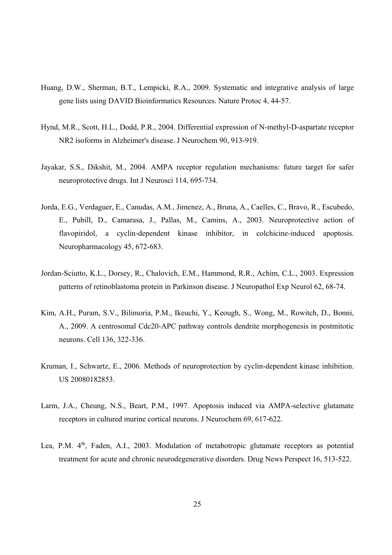- Huang, D.W., Sherman, B.T., Lempicki, R.A., 2009. Systematic and integrative analysis of large gene lists using DAVID Bioinformatics Resources. Nature Protoc 4, 44-57.
- Hynd, M.R., Scott, H.L., Dodd, P.R., 2004. Differential expression of N-methyl-D-aspartate receptor NR2 isoforms in Alzheimer's disease. J Neurochem 90, 913-919.
- Jayakar, S.S., Dikshit, M., 2004. AMPA receptor regulation mechanisms: future target for safer neuroprotective drugs. Int J Neurosci 114, 695-734.
- Jorda, E.G., Verdaguer, E., Canudas, A.M., Jimenez, A., Bruna, A., Caelles, C., Bravo, R., Escubedo, E., Pubill, D., Camarasa, J., Pallas, M., Camins, A., 2003. Neuroprotective action of flavopiridol, a cyclin-dependent kinase inhibitor, in colchicine-induced apoptosis. Neuropharmacology 45, 672-683.
- Jordan-Sciutto, K.L., Dorsey, R., Chalovich, E.M., Hammond, R.R., Achim, C.L., 2003. Expression patterns of retinoblastoma protein in Parkinson disease. J Neuropathol Exp Neurol 62, 68-74.
- Kim, A.H., Puram, S.V., Bilimoria, P.M., Ikeuchi, Y., Keough, S., Wong, M., Rowitch, D., Bonni, A., 2009. A centrosomal Cdc20-APC pathway controls dendrite morphogenesis in postmitotic neurons. Cell 136, 322-336.
- Kruman, I., Schwartz, E., 2006. Methods of neuroprotection by cyclin-dependent kinase inhibition. US 20080182853.
- Larm, J.A., Cheung, N.S., Beart, P.M., 1997. Apoptosis induced via AMPA-selective glutamate receptors in cultured murine cortical neurons. J Neurochem 69, 617-622.
- Lea, P.M. 4<sup>th</sup>, Faden, A.I., 2003. Modulation of metabotropic glutamate receptors as potential treatment for acute and chronic neurodegenerative disorders. Drug News Perspect 16, 513-522.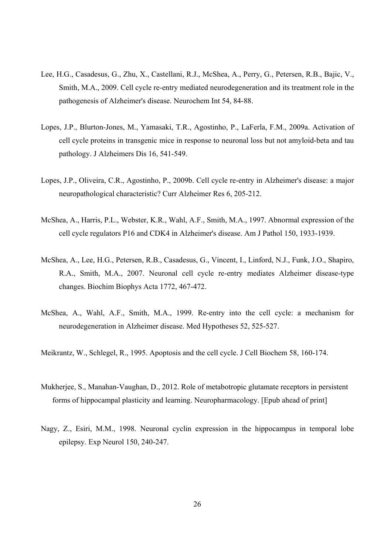- Lee, H.G., Casadesus, G., Zhu, X., Castellani, R.J., McShea, A., Perry, G., Petersen, R.B., Bajic, V., Smith, M.A., 2009. Cell cycle re-entry mediated neurodegeneration and its treatment role in the pathogenesis of Alzheimer's disease. Neurochem Int 54, 84-88.
- Lopes, J.P., Blurton-Jones, M., Yamasaki, T.R., Agostinho, P., LaFerla, F.M., 2009a. Activation of cell cycle proteins in transgenic mice in response to neuronal loss but not amyloid-beta and tau pathology. J Alzheimers Dis 16, 541-549.
- Lopes, J.P., Oliveira, C.R., Agostinho, P., 2009b. Cell cycle re-entry in Alzheimer's disease: a major neuropathological characteristic? Curr Alzheimer Res 6, 205-212.
- McShea, A., Harris, P.L., Webster, K.R., Wahl, A.F., Smith, M.A., 1997. Abnormal expression of the cell cycle regulators P16 and CDK4 in Alzheimer's disease. Am J Pathol 150, 1933-1939.
- McShea, A., Lee, H.G., Petersen, R.B., Casadesus, G., Vincent, I., Linford, N.J., Funk, J.O., Shapiro, R.A., Smith, M.A., 2007. Neuronal cell cycle re-entry mediates Alzheimer disease-type changes. Biochim Biophys Acta 1772, 467-472.
- McShea, A., Wahl, A.F., Smith, M.A., 1999. Re-entry into the cell cycle: a mechanism for neurodegeneration in Alzheimer disease. Med Hypotheses 52, 525-527.
- Meikrantz, W., Schlegel, R., 1995. Apoptosis and the cell cycle. J Cell Biochem 58, 160-174.
- Mukherjee, S., Manahan-Vaughan, D., 2012. Role of metabotropic glutamate receptors in persistent forms of hippocampal plasticity and learning. Neuropharmacology. [Epub ahead of print]
- Nagy, Z., Esiri, M.M., 1998. Neuronal cyclin expression in the hippocampus in temporal lobe epilepsy. Exp Neurol 150, 240-247.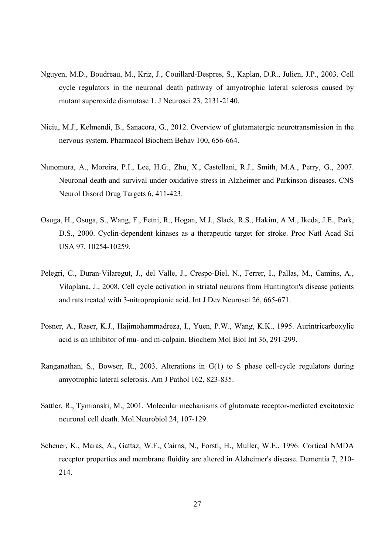- Nguyen, M.D., Boudreau, M., Kriz, J., Couillard-Despres, S., Kaplan, D.R., Julien, J.P., 2003. Cell cycle regulators in the neuronal death pathway of amyotrophic lateral sclerosis caused by mutant superoxide dismutase 1. J Neurosci 23, 2131-2140.
- Niciu, M.J., Kelmendi, B., Sanacora, G., 2012. Overview of glutamatergic neurotransmission in the nervous system. Pharmacol Biochem Behav 100, 656-664.
- Nunomura, A., Moreira, P.I., Lee, H.G., Zhu, X., Castellani, R.J., Smith, M.A., Perry, G., 2007. Neuronal death and survival under oxidative stress in Alzheimer and Parkinson diseases. CNS Neurol Disord Drug Targets 6, 411-423.
- Osuga, H., Osuga, S., Wang, F., Fetni, R., Hogan, M.J., Slack, R.S., Hakim, A.M., Ikeda, J.E., Park, D.S., 2000. Cyclin-dependent kinases as a therapeutic target for stroke. Proc Natl Acad Sci USA 97, 10254-10259.
- Pelegri, C., Duran-Vilaregut, J., del Valle, J., Crespo-Biel, N., Ferrer, I., Pallas, M., Camins, A., Vilaplana, J., 2008. Cell cycle activation in striatal neurons from Huntington's disease patients and rats treated with 3-nitropropionic acid. Int J Dev Neurosci 26, 665-671.
- Posner, A., Raser, K.J., Hajimohammadreza, I., Yuen, P.W., Wang, K.K., 1995. Aurintricarboxylic acid is an inhibitor of mu- and m-calpain. Biochem Mol Biol Int 36, 291-299.
- Ranganathan, S., Bowser, R., 2003. Alterations in G(1) to S phase cell-cycle regulators during amyotrophic lateral sclerosis. Am J Pathol 162, 823-835.
- Sattler, R., Tymianski, M., 2001. Molecular mechanisms of glutamate receptor-mediated excitotoxic neuronal cell death. Mol Neurobiol 24, 107-129.
- Scheuer, K., Maras, A., Gattaz, W.F., Cairns, N., Forstl, H., Muller, W.E., 1996. Cortical NMDA receptor properties and membrane fluidity are altered in Alzheimer's disease. Dementia 7, 210- 214.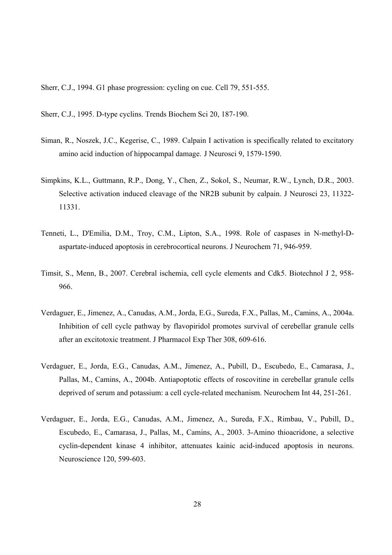Sherr, C.J., 1994. G1 phase progression: cycling on cue. Cell 79, 551-555.

Sherr, C.J., 1995. D-type cyclins. Trends Biochem Sci 20, 187-190.

- Siman, R., Noszek, J.C., Kegerise, C., 1989. Calpain I activation is specifically related to excitatory amino acid induction of hippocampal damage. J Neurosci 9, 1579-1590.
- Simpkins, K.L., Guttmann, R.P., Dong, Y., Chen, Z., Sokol, S., Neumar, R.W., Lynch, D.R., 2003. Selective activation induced cleavage of the NR2B subunit by calpain. J Neurosci 23, 11322- 11331.
- Tenneti, L., D'Emilia, D.M., Troy, C.M., Lipton, S.A., 1998. Role of caspases in N-methyl-Daspartate-induced apoptosis in cerebrocortical neurons. J Neurochem 71, 946-959.
- Timsit, S., Menn, B., 2007. Cerebral ischemia, cell cycle elements and Cdk5. Biotechnol J 2, 958- 966.
- Verdaguer, E., Jimenez, A., Canudas, A.M., Jorda, E.G., Sureda, F.X., Pallas, M., Camins, A., 2004a. Inhibition of cell cycle pathway by flavopiridol promotes survival of cerebellar granule cells after an excitotoxic treatment. J Pharmacol Exp Ther 308, 609-616.
- Verdaguer, E., Jorda, E.G., Canudas, A.M., Jimenez, A., Pubill, D., Escubedo, E., Camarasa, J., Pallas, M., Camins, A., 2004b. Antiapoptotic effects of roscovitine in cerebellar granule cells deprived of serum and potassium: a cell cycle-related mechanism. Neurochem Int 44, 251-261.
- Verdaguer, E., Jorda, E.G., Canudas, A.M., Jimenez, A., Sureda, F.X., Rimbau, V., Pubill, D., Escubedo, E., Camarasa, J., Pallas, M., Camins, A., 2003. 3-Amino thioacridone, a selective cyclin-dependent kinase 4 inhibitor, attenuates kainic acid-induced apoptosis in neurons. Neuroscience 120, 599-603.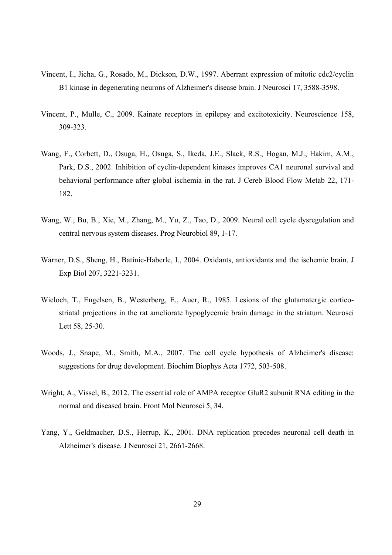- Vincent, I., Jicha, G., Rosado, M., Dickson, D.W., 1997. Aberrant expression of mitotic cdc2/cyclin B1 kinase in degenerating neurons of Alzheimer's disease brain. J Neurosci 17, 3588-3598.
- Vincent, P., Mulle, C., 2009. Kainate receptors in epilepsy and excitotoxicity. Neuroscience 158, 309-323.
- Wang, F., Corbett, D., Osuga, H., Osuga, S., Ikeda, J.E., Slack, R.S., Hogan, M.J., Hakim, A.M., Park, D.S., 2002. Inhibition of cyclin-dependent kinases improves CA1 neuronal survival and behavioral performance after global ischemia in the rat. J Cereb Blood Flow Metab 22, 171- 182.
- Wang, W., Bu, B., Xie, M., Zhang, M., Yu, Z., Tao, D., 2009. Neural cell cycle dysregulation and central nervous system diseases. Prog Neurobiol 89, 1-17.
- Warner, D.S., Sheng, H., Batinic-Haberle, I., 2004. Oxidants, antioxidants and the ischemic brain. J Exp Biol 207, 3221-3231.
- Wieloch, T., Engelsen, B., Westerberg, E., Auer, R., 1985. Lesions of the glutamatergic corticostriatal projections in the rat ameliorate hypoglycemic brain damage in the striatum. Neurosci Lett 58, 25-30.
- Woods, J., Snape, M., Smith, M.A., 2007. The cell cycle hypothesis of Alzheimer's disease: suggestions for drug development. Biochim Biophys Acta 1772, 503-508.
- Wright, A., Vissel, B., 2012. The essential role of AMPA receptor GluR2 subunit RNA editing in the normal and diseased brain. Front Mol Neurosci 5, 34.
- Yang, Y., Geldmacher, D.S., Herrup, K., 2001. DNA replication precedes neuronal cell death in Alzheimer's disease. J Neurosci 21, 2661-2668.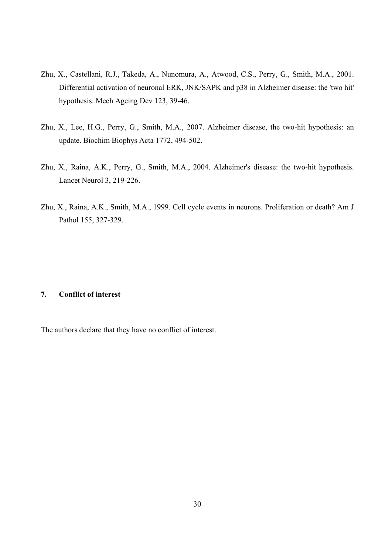- Zhu, X., Castellani, R.J., Takeda, A., Nunomura, A., Atwood, C.S., Perry, G., Smith, M.A., 2001. Differential activation of neuronal ERK, JNK/SAPK and p38 in Alzheimer disease: the 'two hit' hypothesis. Mech Ageing Dev 123, 39-46.
- Zhu, X., Lee, H.G., Perry, G., Smith, M.A., 2007. Alzheimer disease, the two-hit hypothesis: an update. Biochim Biophys Acta 1772, 494-502.
- Zhu, X., Raina, A.K., Perry, G., Smith, M.A., 2004. Alzheimer's disease: the two-hit hypothesis. Lancet Neurol 3, 219-226.
- Zhu, X., Raina, A.K., Smith, M.A., 1999. Cell cycle events in neurons. Proliferation or death? Am J Pathol 155, 327-329.

#### **7. Conflict of interest**

The authors declare that they have no conflict of interest.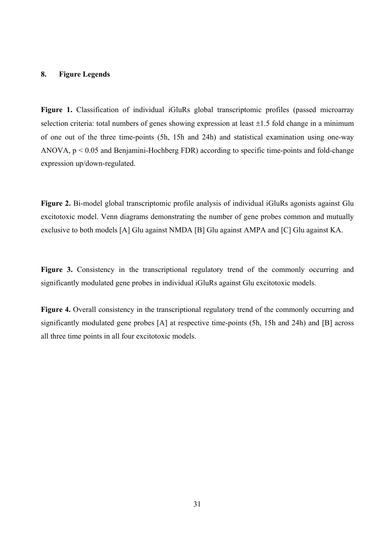#### **8. Figure Legends**

**Figure 1.** Classification of individual iGluRs global transcriptomic profiles (passed microarray selection criteria: total numbers of genes showing expression at least  $\pm 1.5$  fold change in a minimum of one out of the three time-points (5h, 15h and 24h) and statistical examination using one-way ANOVA, p < 0.05 and Benjamini-Hochberg FDR) according to specific time-points and fold-change expression up/down-regulated.

**Figure 2.** Bi-model global transcriptomic profile analysis of individual iGluRs agonists against Glu excitotoxic model. Venn diagrams demonstrating the number of gene probes common and mutually exclusive to both models [A] Glu against NMDA [B] Glu against AMPA and [C] Glu against KA.

Figure 3. Consistency in the transcriptional regulatory trend of the commonly occurring and significantly modulated gene probes in individual iGluRs against Glu excitotoxic models.

Figure 4. Overall consistency in the transcriptional regulatory trend of the commonly occurring and significantly modulated gene probes [A] at respective time-points (5h, 15h and 24h) and [B] across all three time points in all four excitotoxic models.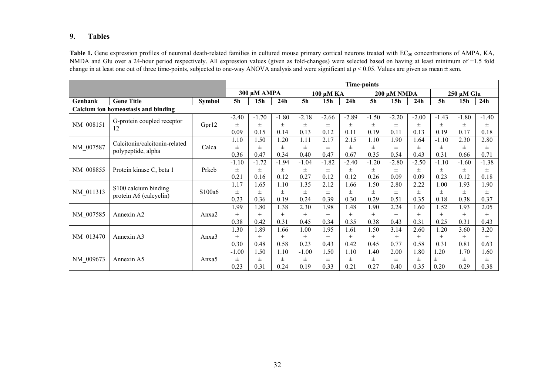#### **9.Tables**

Table 1. Gene expression profiles of neuronal death-related families in cultured mouse primary cortical neurons treated with EC<sub>50</sub> concentrations of AMPA, KA, NMDA and Glu over a 24-hour period respectively. All expression values (given as fold-changes) were selected based on having at least minimum of ±1.5 fold change in at least one out of three time-points, subjected to one-way ANOVA analysis and were significant at  $p < 0.05$ . Values are given as mean  $\pm$  sem.

|           |                                     |               | <b>Time-points</b> |             |          |                |           |         |                |         |         |                |            |         |
|-----------|-------------------------------------|---------------|--------------------|-------------|----------|----------------|-----------|---------|----------------|---------|---------|----------------|------------|---------|
|           |                                     |               |                    | 300 μΜ ΑΜΡΑ |          |                | 100 μM KA |         | 200 μM NMDA    |         |         |                | 250 µM Glu |         |
| Genbank   | <b>Gene Title</b>                   | <b>Symbol</b> | <b>5h</b>          | 15h         | 24h      | 5 <sub>h</sub> | 15h       | 24h     | 5 <sub>h</sub> | 15h     | 24h     | 5 <sub>h</sub> | 15h        | 24h     |
|           | Calcium ion homeostasis and binding |               |                    |             |          |                |           |         |                |         |         |                |            |         |
|           | G-protein coupled receptor          |               | $-2.40$            | $-1.70$     | $-1.80$  | $-2.18$        | $-2.66$   | $-2.89$ | $-1.50$        | $-2.20$ | $-2.00$ | $-1.43$        | $-1.80$    | $-1.40$ |
| NM 008151 | 12                                  | Gpr12         | $\pm$              | $\pm$       | $_{\pm}$ | $\pm$          | $\pm$     | $\pm$   | $\pm$          | $\pm$   | $\pm$   | Ŧ              | $\pm$      | $\pm$   |
|           |                                     |               | 0.09               | 0.15        | 0.14     | 0.13           | 0.12      | 0.11    | 0.19           | 0.11    | 0.13    | 0.19           | 0.17       | 0.18    |
|           | Calcitonin/calcitonin-related       |               | 1.10               | 1.50        | 1.20     | 1.11           | 2.17      | 2.15    | 1.10           | 1.90    | 1.64    | $-1.10$        | 2.30       | 2.80    |
| NM_007587 | polypeptide, alpha                  | Calca         | $\pm$              | $\pm$       | $_{\pm}$ | $\pm$          | $_{\pm}$  | $\pm$   | $\pm$          | $\pm$   | $\pm$   | $\pm$          | $\pm$      | $\pm$   |
|           |                                     |               | 0.36               | 0.47        | 0.34     | 0.40           | 0.47      | 0.67    | 0.35           | 0.54    | 0.43    | 0.31           | 0.66       | 0.71    |
|           |                                     |               | $-1.10$            | $-1.72$     | $-1.94$  | $-1.04$        | $-1.82$   | $-2.40$ | $-1.20$        | $-2.80$ | $-2.50$ | $-1.10$        | $-1.60$    | $-1.38$ |
| NM 008855 | Protein kinase C, beta 1            | Prkcb         | 士                  | 士           | $\pm$    | $\pm$          | 士         | $\pm$   | 士              | 士       | 士       | $^{\pm}$       | $\pm$      | $\pm$   |
|           |                                     |               | 0.21               | 0.16        | 0.12     | 0.27           | 0.12      | 0.12    | 0.26           | 0.09    | 0.09    | 0.23           | 0.12       | 0.18    |
|           | S100 calcium binding                |               | 1.17               | 1.65        | 1.10     | 1.35           | 2.12      | 1.66    | 1.50           | 2.80    | 2.22    | 1.00           | 1.93       | 1.90    |
| NM 011313 | protein A6 (calcyclin)              | S100a6        | $\pm$              | $\pm$       | $\pm$    | 士              | $_{\pm}$  | $\pm$   | 士              | $\pm$   | Ŧ.      | Ŧ              | $\pm$      | $\pm$   |
|           |                                     |               | 0.23               | 0.36        | 0.19     | 0.24           | 0.39      | 0.30    | 0.29           | 0.51    | 0.35    | 0.18           | 0.38       | 0.37    |
|           |                                     |               | 1.99               | 1.80        | 1.38     | 2.30           | 1.98      | 1.48    | 1.90           | 2.24    | .60     | 1.52           | 1.93       | 2.05    |
| NM 007585 | Annexin A2                          | Anxa2         | $\pm$              | $\pm$       | $\pm$    | $\pm$          | $_{\pm}$  | $\pm$   | $\pm$          | $\pm$   | $\pm$   | $\pm$          | $\pm$      | $\pm$   |
|           |                                     |               | 0.38               | 0.42        | 0.31     | 0.45           | 0.34      | 0.35    | 0.38           | 0.43    | 0.31    | 0.25           | 0.31       | 0.43    |
|           |                                     |               | 1.30               | .89         | 1.66     | 1.00           | 1.95      | 1.61    | 1.50           | 3.14    | 2.60    | 1.20           | 3.60       | 3.20    |
| NM 013470 | Annexin A3                          | Anxa3         | 士                  | 士           | 士        | 士              | 士         | 士       | 士              | 士       | 士       | Ŧ              | $\pm$      | $\pm$   |
|           |                                     |               | 0.30               | 0.48        | 0.58     | 0.23           | 0.43      | 0.42    | 0.45           | 0.77    | 0.58    | 0.31           | 0.81       | 0.63    |
|           |                                     |               | $-1.00$            | 1.50        | 1.10     | $-1.00$        | 1.50      | 1.10    | 1.40           | 2.00    | 1.80    | 1.20           | 1.70       | 1.60    |
| NM 009673 | Annexin A5                          | Anxa5         | $\pm$              | $\pm$       | $\pm$    | $\pm$          | $_{\pm}$  | $\pm$   | 士              | $\pm$   | $\pm$   | $\pm$          | $\pm$      | $\pm$   |
|           |                                     |               | 0.23               | 0.31        | 0.24     | 0.19           | 0.33      | 0.21    | 0.27           | 0.40    | 0.35    | 0.20           | 0.29       | 0.38    |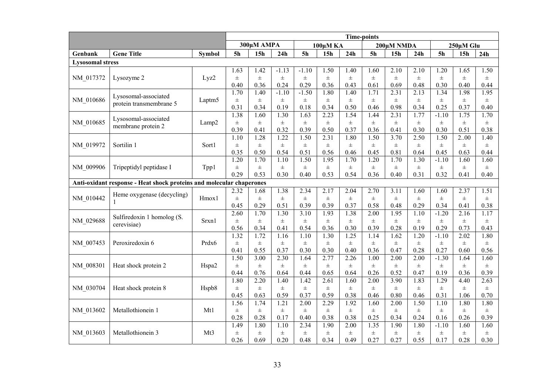|                         |                                                                      | <b>Time-points</b> |                |                 |          |                |                 |          |                |                 |          |                |                 |          |
|-------------------------|----------------------------------------------------------------------|--------------------|----------------|-----------------|----------|----------------|-----------------|----------|----------------|-----------------|----------|----------------|-----------------|----------|
|                         |                                                                      |                    |                | 300µM AMPA      |          |                | 100μM KA        |          |                | 200μM NMDA      |          |                | 250µM Glu       |          |
| Genbank                 | <b>Gene Title</b>                                                    | <b>Symbol</b>      | 5 <sub>h</sub> | 15 <sub>h</sub> | 24h      | 5 <sub>h</sub> | 15 <sub>h</sub> | 24h      | 5 <sub>h</sub> | 15 <sub>h</sub> | 24h      | 5 <sub>h</sub> | 15 <sub>h</sub> | 24h      |
| <b>Lysosomal stress</b> |                                                                      |                    |                |                 |          |                |                 |          |                |                 |          |                |                 |          |
|                         |                                                                      |                    | 1.63           | 1.42            | $-1.13$  | $-1.10$        | 1.50            | 1.40     | 1.60           | 2.10            | 2.10     | 1.20           | 1.65            | 1.50     |
| NM_017372               | Lysozyme 2                                                           | Lyz2               | $\pm$          | $\pm$           | $\pm$    | $\pm$          | $\pm$           | $\pm$    | $\pm$          | $\pm$           | $\pm$    | $\pm$          | $\pm$           | $\pm$    |
|                         |                                                                      |                    | 0.40           | 0.36            | 0.24     | 0.29           | 0.36            | 0.43     | 0.61           | 0.69            | 0.48     | 0.30           | 0.40            | 0.44     |
|                         |                                                                      |                    | 1.70           | 1.40            | $-1.10$  | $-1.50$        | 1.80            | 1.40     | 1.71           | 2.31            | 2.13     | 1.34           | 1.98            | 1.95     |
| NM 010686               | Lysosomal-associated                                                 | Laptm <sub>5</sub> | $\pm$          | $\pm$           | $_{\pm}$ | $\pm$          | $\pm$           | $\pm$    | $\pm$          | $\pm$           | $\pm$    | $\pm$          | $\pm$           | $\pm$    |
|                         | protein transmembrane 5                                              |                    | 0.31           | 0.34            | 0.19     | 0.18           | 0.34            | 0.50     | 0.46           | 0.98            | 0.34     | 0.25           | 0.37            | 0.40     |
|                         | Lysosomal-associated                                                 |                    | 1.38           | 1.60            | 1.30     | 1.63           | 2.23            | 1.54     | 1.44           | 2.31            | 1.77     | $-1.10$        | 1.75            | 1.70     |
| NM 010685               | membrane protein 2                                                   | Lamp <sub>2</sub>  | $\pm$          | $\pm$           | $\pm$    | $\pm$          | $\pm$           | $\pm$    | $\pm$          | $\pm$           | $\pm$    | $\pm$          | $\pm$           | $_{\pm}$ |
|                         |                                                                      |                    | 0.39           | 0.41            | 0.32     | 0.39           | 0.50            | 0.37     | 0.36           | 0.41            | 0.30     | 0.30           | 0.51            | 0.38     |
|                         |                                                                      |                    | 1.10           | 1.28            | 1.22     | 1.50           | 2.31            | 1.80     | 1.50           | 3.70            | 2.50     | 1.50           | 200             | 1.40     |
| NM 019972               | Sortilin 1                                                           | Sort1              | $\pm$          | $\pm$           | $\pm$    | $\pm$          | $\pm$           | $\pm$    | $\pm$          | $\pm$           | $\pm$    | $\pm$          | $\pm$           | $\pm$    |
|                         |                                                                      |                    | 0.35           | 0.50            | 0.54     | 0.51           | 0.56            | 0.46     | 0.45           | 0.81            | 0.64     | 0.45           | 0.63            | 0.44     |
|                         |                                                                      |                    | 1.20           | 1.70            | 1.10     | 1.50           | 1.95            | 1.70     | 1.20           | 1.70            | 1.30     | $-1.10$        | 1.60            | 1.60     |
| NM 009906               | Tripeptidyl peptidase I                                              | Tpp1               | $\pm$          | $\pm$           | $_{\pm}$ | $\pm$          | $\pm$           | $\pm$    | $\pm$          | $\pm$           | $\pm$    | $\pm$          | $\pm$           | $\pm$    |
|                         |                                                                      |                    | 0.29           | 0.53            | 0.30     | 0.40           | 0.53            | 0.54     | 0.36           | 0.40            | 0.31     | 0.32           | 0.41            | 0.40     |
|                         | Anti-oxidant response - Heat shock proteins and molecular chaperones |                    |                |                 |          |                |                 |          |                |                 |          |                |                 |          |
|                         | Heme oxygenase (decycling)                                           |                    | 2.32           | 1.68            | 1.38     | 2.34           | 2.17            | 2.04     | 2.70           | 3.11            | 1.60     | 1.60           | 2.37            | 1.51     |
| NM 010442               |                                                                      | Hmox1              | $\pm$          | $\pm$           | $\pm$    | $\pm$          | $\pm$           | $\pm$    | $\pm$          | $\pm$           | $\pm$    | $\pm$          | $\pm$           | $\pm$    |
|                         |                                                                      |                    | 0.45           | 0.29            | 0.51     | 0.39           | 0.39            | 0.37     | 0.58           | 0.48            | 0.29     | 0.34           | 0.41            | 0.38     |
|                         | Sulfiredoxin 1 homolog (S.                                           |                    | 2.60           | 1.70            | 1.30     | 3.10           | 1.93            | 1.38     | 2.00           | 1.95            | 1.10     | $-1.20$        | 2.16            | 1.17     |
| NM 029688               | cerevisiae)                                                          | Srxn1              | $\pm$          | $\pm$           | 士        | $\pm$          | $\pm$           | $_{\pm}$ | $\pm$          | $\pm$           | $\pm$    | $\pm$          | $\pm$           | $\pm$    |
|                         |                                                                      |                    | 0.56           | 0.34            | 0.41     | 0.54           | 0.36            | 0.30     | 0.39           | 0.28            | 0.19     | 0.29           | 0.73            | 0.43     |
|                         |                                                                      |                    | 1.32           | 1.72            | 1.16     | 1.10           | 1.30            | 1.25     | 1.14           | 1.62            | 1.20     | $-1.10$        | 2.02            | 1.80     |
| NM 007453               | Peroxiredoxin 6                                                      | Prdx6              | $\pm$          | $\pm$           | $_{\pm}$ | $\pm$          | $\pm$           | $\pm$    | $\pm$          | $\pm$           | $\pm$    | $\pm$          | $\pm$           | $\pm$    |
|                         |                                                                      |                    | 0.41           | 0.55            | 0.37     | 0.30           | 0.30            | 0.40     | 0.36           | 0.47            | 0.28     | 0.27           | 0.60            | 0.56     |
|                         |                                                                      |                    | 1.50           | 3.00            | 2.30     | 1.64           | 2.77            | 2.26     | 1.00           | 2.00            | 2.00     | $-1.30$        | 1.64            | 1.60     |
| NM 008301               | Heat shock protein 2                                                 | Hspa2              | $\pm$          | $_{\pm}$        | $_{\pm}$ | $_{\pm}$       | $\pm$           | $\pm$    | $_{\pm}$       | $_{\pm}$        | $_{\pm}$ | $_{\pm}$       | $\pm$           | $\pm$    |
|                         |                                                                      |                    | 0.44           | 0.76            | 0.64     | 0.44           | 0.65            | 0.64     | 0.26           | 0.52            | 0.47     | 0.19           | 0.36            | 0.39     |
|                         |                                                                      |                    | 1.80           | 2.20            | 1.40     | 1.42           | 2.61            | 1.60     | 2.00           | 3.90            | 1.83     | 1.29           | 4.40            | 2.63     |
| NM 030704               | Heat shock protein 8                                                 | Hspb8              | $\pm$          | $\pm$           | $\pm$    | $\pm$          | $\pm$           | $_{\pm}$ | $\pm$          | $\pm$           | $\pm$    | $\pm$          | $\pm$           | $\pm$    |
|                         |                                                                      |                    | 0.45           | 0.63            | 0.59     | 0.37           | 0.59            | 0.38     | 0.46           | 0.80            | 0.46     | 0.31           | 1.06            | 0.70     |
|                         |                                                                      |                    | 1.56           | 1.74            | 1.21     | 2.00           | 2.29            | 1.92     | 1.60           | 2.00            | 1.50     | 1.10           | 1.80            | 1.80     |
| NM 013602               | Metallothionein 1                                                    | Mt1                | $\pm$          | $\pm$           | $\pm$    | $\pm$          | $\pm$           | $\pm$    | $\pm$          | $\pm$           | $\pm$    | $\pm$          | $\pm$           | $\pm$    |
|                         |                                                                      |                    | 0.28           | 0.28            | 0.17     | 0.40           | 0.38            | 0.38     | 0.25           | 0.34            | 0.24     | 0.16           | 0.26            | 0.39     |
|                         |                                                                      |                    | 1.49           | 1.80            | 1.10     | 2.34           | 1.90            | 2.00     | 1.35           | 1.90            | 1.80     | $-1.10$        | 1.60            | 1.60     |
| NM 013603               | Metallothionein 3                                                    | Mt3                | $\pm$          | $_{\pm}$        | $_{\pm}$ | $_{\pm}$       | $\pm$           | $\pm$    | $_{\pm}$       | $_{\pm}$        | $\pm$    | $\pm$          | $\pm$           | $\pm$    |
|                         |                                                                      |                    | 0.26           | 0.69            | 0.20     | 0.48           | 0.34            | 0.49     | 0.27           | 0.27            | 0.55     | 0.17           | 0.28            | 0.30     |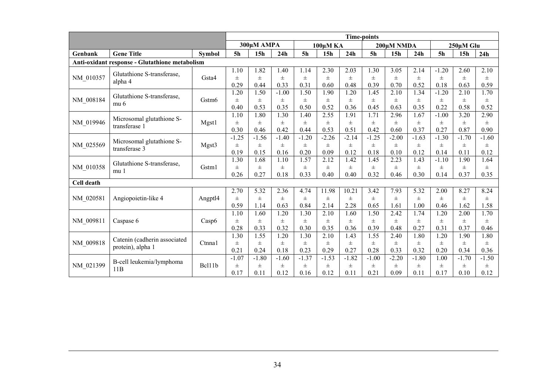|                   |                                                |                   | <b>Time-points</b> |                 |          |                |                 |          |                |                 |         |                |                 |         |
|-------------------|------------------------------------------------|-------------------|--------------------|-----------------|----------|----------------|-----------------|----------|----------------|-----------------|---------|----------------|-----------------|---------|
|                   |                                                |                   |                    | 300µM AMPA      |          |                | 100μMKA         |          | 200µM NMDA     |                 |         |                | $250 \mu M$ Glu |         |
| Genbank           | <b>Gene Title</b>                              | <b>Symbol</b>     | <b>5h</b>          | 15 <sub>h</sub> | 24h      | 5 <sub>h</sub> | 15 <sub>h</sub> | 24h      | 5 <sub>h</sub> | 15 <sub>h</sub> | 24h     | 5 <sub>h</sub> | 15 <sub>h</sub> | 24h     |
|                   | Anti-oxidant response - Glutathione metabolism |                   |                    |                 |          |                |                 |          |                |                 |         |                |                 |         |
|                   | Glutathione S-transferase,                     |                   | 1.10               | 1.82            | 1.40     | 1.14           | 2.30            | 2.03     | 1.30           | 3.05            | 2.14    | $-1.20$        | 2.60            | 2.10    |
| NM 010357         | alpha 4                                        | Gsta4             | $\pm$              | $\pm$           | $\pm$    | $\pm$          | $\pm$           | $\pm$    | $\pm$          | $\pm$           | Ŧ       | $\pm$          | $\pm$           | $\pm$   |
|                   |                                                |                   | 0.29               | 0.44            | 0.33     | 0.31           | 0.60            | 0.48     | 0.39           | 0.70            | 0.52    | 0.18           | 0.63            | 0.59    |
|                   | Glutathione S-transferase,                     |                   | 1.20               | 1.50            | $-1.00$  | 1.50           | 1.90            | 1.20     | 1.45           | 2.10            | 1.34    | $-1.20$        | 2.10            | 1.70    |
| NM 008184         | mu 6                                           | Gstm <sub>6</sub> | $\pm$              | $\pm$           | $_{\pm}$ | 士              | 士               | $_{\pm}$ | $_{\pm}$       | Ŧ               | Ŧ.      | $_{\pm}$       | $\pm$           | $\pm$   |
|                   |                                                |                   | 0.40               | 0.53            | 0.35     | 0.50           | 0.52            | 0.36     | 0.45           | 0.63            | 0.35    | 0.22           | 0.58            | 0.52    |
|                   | Microsomal glutathione S-                      |                   | 1.10               | 1.80            | 1.30     | 1.40           | 2.55            | 1.91     | 1.71           | 2.96            | 1.67    | $-1.00$        | 3.20            | 2.90    |
| NM_019946         | transferase 1                                  | Mgst1             | $\pm$              | $\pm$           | $_{\pm}$ | 士              | 士               | 士        | $_{\pm}$       | Ŧ               | Ŧ.      | $\pm$          | $\pm$           | 士       |
|                   |                                                |                   | 0.30               | 0.46            | 0.42     | 0.44           | 0.53            | 0.51     | 0.42           | 0.60            | 0.37    | 0.27           | 0.87            | 0.90    |
|                   | Microsomal glutathione S-                      |                   | $-1.25$            | $-1.56$         | $-1.40$  | $-1.20$        | $-2.26$         | $-2.14$  | $-1.25$        | $-2.00$         | $-1.63$ | $-1.30$        | $-1.70$         | $-1.60$ |
| NM 025569         | transferase 3                                  | Mgst3             | $\pm$              | $\pm$           | $_{\pm}$ | 士              | 士               | $\pm$    | $\pm$          | $\pm$           | Ŧ.      | $\pm$          | $\pm$           | $\pm$   |
|                   |                                                |                   | 0.19               | 0.15            | 0.16     | 0.20           | 0.09            | 0.12     | 0.18           | 0.10            | 0.12    | 0.14           | 0.11            | 0.12    |
|                   | Glutathione S-transferase,                     |                   | 1.30               | 1.68            | 1.10     | 1.57           | 2.12            | 1.42     | 1.45           | 2.23            | 1.43    | $-1.10$        | 1.90            | 1.64    |
| NM 010358         | mu 1                                           | Gstm1             | $\pm$              | $_{\pm}$        | Ŧ        | 士              | 士               | $_{\pm}$ | $_{\pm}$       | Ŧ               | Ŧ.      | $_{\pm}$       | $\pm$           | 士       |
|                   |                                                |                   | 0.26               | 0.27            | 0.18     | 0.33           | 0.40            | 0.40     | 0.32           | 0.46            | 0.30    | 0.14           | 0.37            | 0.35    |
| <b>Cell death</b> |                                                |                   |                    |                 |          |                |                 |          |                |                 |         |                |                 |         |
|                   |                                                |                   | 2.70               | 5.32            | 2.36     | 4.74           | 11.98           | 10.21    | 3.42           | 7.93            | 5.32    | 2.00           | 8.27            | 8.24    |
| NM_020581         | Angiopoietin-like 4                            | Angptl4           | $\pm$              | $\pm$           | $_{\pm}$ | $\pm$          | $\pm$           | $\pm$    | $\pm$          | Ŧ.              | Ŧ.      | $\pm$          | $\pm$           | $\pm$   |
|                   |                                                |                   | 0.59               | 1.14            | 0.63     | 0.84           | 2.14            | 2.28     | 0.65           | 1.61            | 1.00    | 0.46           | 1.62            | 1.58    |
|                   |                                                |                   | 1.10               | 1.60            | 1.20     | 1.30           | 2.10            | 1.60     | 1.50           | 2.42            | 1.74    | 1.20           | 2.00            | 1.70    |
| NM 009811         | Caspase 6                                      | Casp6             | $\pm$              | $\pm$           | $\pm$    | $\pm$          | $_{\pm}$        | $\pm$    | $\pm$          | $\pm$           | Ŧ       | $\pm$          | $\pm$           | $\pm$   |
|                   |                                                |                   | 0.28               | 0.33            | 0.32     | 0.30           | 0.35            | 0.36     | 0.39           | 0.48            | 0.27    | 0.31           | 0.37            | 0.46    |
|                   | Catenin (cadherin associated                   |                   | 1.30               | 1.55            | 1.20     | 1.30           | 2.10            | 1.43     | 1.55           | 2.40            | 1.80    | 1.20           | 1.90            | 1.80    |
| NM 009818         | protein), alpha 1                              | Ctnna1            | $\pm$              | $_{\pm}$        | $_{\pm}$ | 士              | 士               | $_{\pm}$ | Ŧ.             | Ŧ.              | Ŧ.      | $\pm$          | $\pm$           | 士       |
|                   |                                                |                   | 0.21               | 0.24            | 0.18     | 0.23           | 0.29            | 0.27     | 0.28           | 0.33            | 0.32    | 0.20           | 0.34            | 0.36    |
|                   | B-cell leukemia/lymphoma                       |                   | $-1.07$            | $-1.80$         | $-1.60$  | $-1.37$        | $-1.53$         | $-1.82$  | $-1.00$        | $-2.20$         | $-1.80$ | 1.00           | $-1.70$         | $-1.50$ |
| NM 021399         |                                                | Bcl11b            | $\pm$              | $\pm$           | $\pm$    | $_{\pm}$       | $_{\pm}$        | $\pm$    | $\pm$          | $\pm$           | Ŧ       | Ŧ              | $\pm$           | $\pm$   |
|                   | 11B                                            |                   | 0.17               | 0.11            | 0.12     | 0.16           | 0.12            | 0.11     | 0.21           | 0.09            | 0.11    | 0.17           | 0.10            | 0.12    |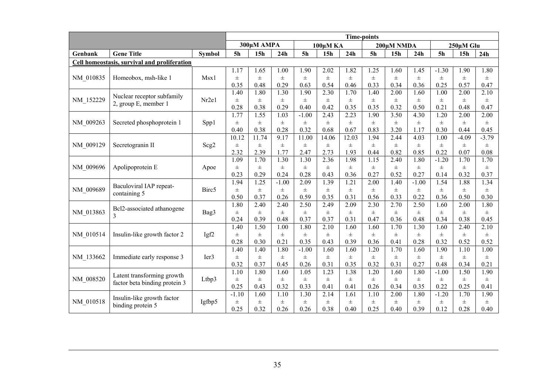|           |                                              | <b>Time-points</b> |                   |                 |          |                |                   |          |                |                 |                   |                   |           |         |
|-----------|----------------------------------------------|--------------------|-------------------|-----------------|----------|----------------|-------------------|----------|----------------|-----------------|-------------------|-------------------|-----------|---------|
|           |                                              |                    |                   | 300µM AMPA      |          |                | 100μM KA          |          |                | 200μM NMDA      |                   |                   | 250µM Glu |         |
| Genbank   | <b>Gene Title</b>                            | <b>Symbol</b>      | 5 <sub>h</sub>    | 15 <sub>h</sub> | 24h      | 5 <sub>h</sub> | 15 <sub>h</sub>   | 24h      | 5 <sub>h</sub> | 15 <sub>h</sub> | 24h               | <b>5h</b>         | 15h       | 24h     |
|           | Cell homeostasis, survival and proliferation |                    |                   |                 |          |                |                   |          |                |                 |                   |                   |           |         |
|           |                                              |                    | 1.17              | 1.65            | 1.00     | 1.90           | 2.02              | 1.82     | 1.25           | 1.60            | 1.45              | $-1.30$           | 1.90      | 1.80    |
| NM 010835 | Homeobox, msh-like 1                         | Msx1               | $\pm$             | $_{\pm}$        | $\pm$    | $\pm$          | $\pm$             | $_{\pm}$ | $\pm$          | Ŧ.              | $\pm$             | $\pm$             | $\pm$     | $\pm$   |
|           |                                              |                    | 0.35              | 0.48            | 0.29     | 0.63           | 0.54              | 0.46     | 0.33           | 0.34            | 0.36              | 0.25              | 0.57      | 0.47    |
|           | Nuclear receptor subfamily                   |                    | 1.40              | 1.80            | 1.30     | 1.90           | 2.30              | 1.70     | 1.40           | 2.00            | 1.60              | 1.00              | 2.00      | 2.10    |
| NM_152229 | 2, group E, member 1                         | Nr2e1              | $\pm$             | $_{\pm}$        | 士        | $\pm$          | $\pm$             | $\pm$    | $\pm$          | $\pm$           | $\pm$             | $\pm$             | $\pm$     | $\pm$   |
|           |                                              |                    | 0.28              | 0.38            | 0.29     | 0.40           | 0.42              | 0.35     | 0.35           | 0.32            | 0.50              | 0.21              | 0.48      | 0.47    |
|           |                                              |                    | 1.77              | 1.55            | 1.03     | $-1.00$        | 2.43              | 2.23     | 1.90           | 3.50            | 4.30              | 1.20              | 2.00      | 2.00    |
| NM 009263 | Secreted phosphoprotein 1                    | Spp1               | $\pm$             | $_{\pm}$        | $_{\pm}$ | $_{\pm}$       | $\pm$             | $_{\pm}$ | $\pm$          | 土.              | $_{\pm}$          | $\pm$             | $\pm$     | $\pm$   |
|           |                                              |                    | 0.40              | 0.38            | 0.28     | 0.32           | 0.68              | 0.67     | 0.83           | 3.20            | 1.17              | 0.30              | 0.44      | 0.45    |
|           |                                              |                    | 10.12             | 11.74           | 9.17     | 11.00          | 14.06             | 12.03    | 1.94           | 2.44            | 4.03              | 1.00              | $-4.09$   | $-3.79$ |
| NM 009129 | Secretogranin II                             | Scg2               | $\pm$             | $_{\pm}$        | $_{\pm}$ | $\pm$          | $\pm$             | Ŧ.       | $\pm$          | Ŧ.              | $\pm$             | $\pm$             | $_{\pm}$  | $\pm$   |
|           |                                              |                    | 2.32              | 2.39            | 1.77     | 2.47           | 2.73              | 1.93     | 0.44           | 0.82            | 0.85              | 0.22              | 0.07      | 0.08    |
|           |                                              |                    | 1.09              | 1.70            | 1.30     | 1.30           | 2.36              | 1.98     | 1.15           | 2.40            | 1.80              | $-1.20$           | 1.70      | 1.70    |
| NM 009696 | Apolipoprotein E                             | Apoe               | $\pm$             | $\pm$           | $\pm$    | $\pm$          | $\pm$             | $\pm$    | $\pm$          | Ŧ.              | $\pm$             | $\pm$             | $\pm$     | $\pm$   |
|           |                                              |                    | 0.23              | 0.29            | 0.24     | 0.28           | 0.43              | 0.36     | 0.27           | 0.52            | 0.27              | 0.14              | 0.32      | 0.37    |
|           | Baculoviral IAP repeat-                      |                    | 1.94              | 1.25            | $-1.00$  | 2.09           | 1.39              | 1.21     | 2.00           | 1.40            | $-1.00$           | 1.54              | 1.88      | 1.34    |
| NM 009689 | containing 5                                 | Birc5              | $\pm$             | $\pm$           | $\pm$    | $\pm$          | $\pm$             | $\pm$    | $_{\pm}$       | Ŧ.              | $\pm$             | $\pm$             | $\pm$     | $\pm$   |
|           |                                              |                    | 0.50              | 0.37            | 0.26     | 0.59           | 0.35              | 0.31     | 0.56           | 0.33            | 0.22              | 0.36              | 0.50      | 0.30    |
|           | Bcl2-associated athanogene                   |                    | 1.80              | 2.40            | 2.40     | 2.50           | 2.49              | 2.09     | 2.30           | 2.70            | 2.50              | 1.60              | 2.00      | 1.80    |
| NM_013863 | 3                                            | Bag3               | $\pm$             | $\pm$           | $\pm$    | $\pm$          | $\pm$             | $\pm$    | $\pm$          | $\pm$           | $\pm$             | $\pm$             | $\pm$     | $\pm$   |
|           |                                              |                    | 0.24              | 0.39            | 0.48     | 0.37           | 0.37              | 0.31     | 0.47           | 0.36            | 0.48              | 0.34              | 0.38      | 0.45    |
|           |                                              |                    | 1.40              | 1.50            | 1.00     | 1.80           | 2.10              | 1.60     | 1.60           | 1.70            | 1.30              | 1.60              | 2.40      | 2.10    |
| NM 010514 | Insulin-like growth factor 2                 | Igf <sub>2</sub>   | $\pm$             | $_{\pm}$        | 士        | 士              | $\pm$             | $_{\pm}$ | $_{\pm}$       | Ŧ.              | $\pm$             | $\pm$             | $\pm$     | $\pm$   |
|           |                                              |                    | 0.28              | 0.30            | 0.21     | 0.35           | 0.43              | 0.39     | 0.36           | 0.41            | 0.28              | 0.32              | 0.52      | 0.52    |
|           |                                              |                    | $\overline{1.40}$ | 1.40            | 1.80     | $-1.00$        | $\overline{1.60}$ | 1.60     | 1.20           | 1.70            | $\overline{1.60}$ | $\overline{1.90}$ | 1.10      | 1.00    |
| NM 133662 | Immediate early response 3                   | Ier <sub>3</sub>   | $\pm$             | $\pm$           | $\pm$    | $\pm$          | $\pm$             | $_{\pm}$ | Ŧ              | Ŧ.              | $\pm$             | $\pm$             | $\pm$     | $\pm$   |
|           |                                              |                    | 0.32              | 0.37            | 0.45     | 0.26           | 0.31              | 0.35     | 0.32           | 0.31            | 0.27              | 0.48              | 0.34      | 0.21    |
|           | Latent transforming growth                   |                    | 1.10              | 1.80            | 1.60     | 1.05           | 1.23              | 1.38     | 1.20           | 1.60            | 1.80              | $-1.00$           | 1.50      | 1.90    |
| NM 008520 | factor beta binding protein 3                | Ltbp3              | $\pm$             | $\pm$           | Ŧ        | Ŧ              | $\pm$             | $\pm$    | $\pm$          | Ŧ.              | $\pm$             | $\pm$             | $\pm$     | $\pm$   |
|           |                                              |                    | 0.25              | 0.43            | 0.32     | 0.33           | 0.41              | 0.41     | 0.26           | 0.34            | 0.35              | 0.22              | 0.25      | 0.41    |
|           | Insulin-like growth factor                   |                    | $-1.10$           | 1.60            | 1.10     | 1.30           | 2.14              | 1.61     | 1.10           | 2.00            | 1.80              | $-1.20$           | 1.70      | 1.90    |
| NM 010518 |                                              | Igfbp5             | $\pm$             | $\pm$           | $\pm$    | $\pm$          | $\pm$             | $\pm$    | $\pm$          | $\pm$           | $\pm$             | $\pm$             | $\pm$     | $\pm$   |
|           | binding protein 5                            |                    | 0.25              | 0.32            | 0.26     | 0.26           | 0.38              | 0.40     | 0.25           | 0.40            | 0.39              | 0.12              | 0.28      | 0.40    |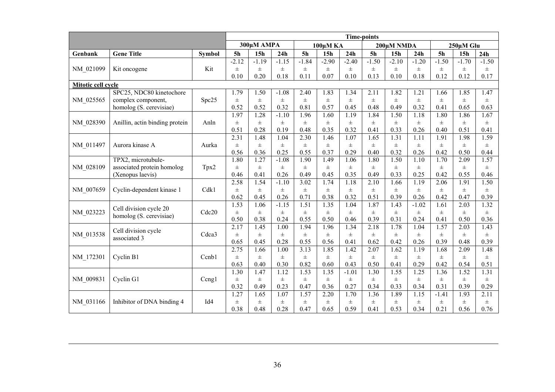|                    |                                |                 | <b>Time-points</b> |                 |               |                |                  |               |                |                 |                  |                |               |                  |
|--------------------|--------------------------------|-----------------|--------------------|-----------------|---------------|----------------|------------------|---------------|----------------|-----------------|------------------|----------------|---------------|------------------|
|                    |                                |                 |                    | 300µM AMPA      |               |                | 100μM KA         |               |                | 200μM NMDA      |                  |                | 250µM Glu     |                  |
| Genbank            | <b>Gene Title</b>              | <b>Symbol</b>   | 5 <sub>h</sub>     | 15 <sub>h</sub> | 24h           | 5 <sub>h</sub> | 15 <sub>h</sub>  | 24h           | 5 <sub>h</sub> | 15 <sub>h</sub> | 24h              | 5 <sub>h</sub> | 15h           | 24h              |
|                    |                                |                 | $-2.12$            | $-1.19$         | $-1.15$       | $-1.84$        | $-2.90$          | $-2.40$       | $-1.50$        | $-2.10$         | $-1.20$          | $-1.50$        | $-1.70$       | $-1.50$          |
| NM 021099          | Kit oncogene                   | Kit             | $\pm$              | $\pm$           | $\pm$         | $\pm$          | $\pm$            | $\pm$         | $\pm$          | $\pm$           | $\pm$            | $\pm$          | $\pm$         | $\pm$            |
|                    |                                |                 | 0.10               | 0.20            | 0.18          | 0.11           | 0.07             | 0.10          | 0.13           | 0.10            | 0.18             | 0.12           | 0.12          | 0.17             |
| Mitotic cell cycle |                                |                 |                    |                 |               |                |                  |               |                |                 |                  |                |               |                  |
|                    | SPC25, NDC80 kinetochore       |                 | 1.79               | 1.50            | $-1.08$       | 2.40           | 1.83             | 1.34          | 2.11           | 1.82            | 1.21             | 1.66           | 1.85          | 1.47             |
| NM_025565          | complex component,             | Spc25           | $\pm$              | $\pm$           | $\pm$         | $\pm$          | $_{\pm}$         | $\pm$         | $\pm$          | $_{\pm}$        | $_{\pm}$         | $_{\pm}$       | $\pm$         | $\pm$            |
|                    | homolog (S. cerevisiae)        |                 | 0.52               | 0.52            | 0.32          | 0.81           | 0.57             | 0.45          | 0.48           | 0.49            | 0.32             | 0.41           | 0.65          | 0.63             |
|                    |                                |                 | 1.97               | 1.28            | $-1.10$       | 1.96           | 1.60             | 1.19          | 1.84           | 1.50            | 1.18             | 1.80           | 1.86          | 1.67             |
| NM 028390          | Anillin, actin binding protein | Anln            | $\pm$              | $\pm$           | $\pm$         | $\pm$          | $_{\pm}$         | $\pm$         | $\pm$          | $_{\pm}$        | $\pm$            | $\pm$          | $\pm$         | $\pm$            |
|                    |                                |                 | 0.51               | 0.28            | 0.19          | 0.48           | 0.35             | 0.32          | 0.41           | 0.33            | 0.26             | 0.40           | 0.51          | 0.41             |
|                    |                                |                 | 2.31               | 1.48            | 1.04          | 2.30           | 1.46             | 1.07          | 1.65           | 1.31            | 1.11             | 1.91           | 1.98          | 1.59             |
| NM 011497          | Aurora kinase A                | Aurka           | $\pm$              | $\pm$           | $\pm$         | $\pm$          | $\pm$            | $\pm$         | $\pm$          | $\pm$           | $\pm$            | $\pm$          | $\pm$         | $\pm$            |
|                    |                                |                 | 0.56               | 0.36            | 0.25          | 0.55           | 0.37             | 0.29          | 0.40           | 0.32            | 0.26             | 0.42           | 0.50          | 0.44             |
|                    | TPX2, microtubule-             |                 | 1.80               | 1.27            | $-1.08$       | 1.90           | 1.49             | 1.06          | 1.80           | 1.50            | 1.10             | 1.70           | 2.09          | 1.57             |
| NM 028109          | associated protein homolog     | Tpx2            | $\pm$              | $\pm$           | $\pm$         | $\pm$          | $\pm$            | $\pm$         | $\pm$          | $\pm$           | $_{\pm}$         | $\pm$          | $\pm$         | $_{\pm}$         |
|                    | (Xenopus laevis)               |                 | 0.46               | 0.41            | 0.26          | 0.49           | 0.45             | 0.35          | 0.49           | 0.33            | 0.25             | 0.42           | 0.55          | 0.46             |
|                    |                                |                 | 2.58               | 1.54            | $-1.10$       | 3.02           | 1.74             | 1.18          | 2.10           | 1.66            | 1.19             | 2.06           | 1.91          | 1.50             |
| NM 007659          | Cyclin-dependent kinase 1      | Cdk1            | $\pm$              | $\pm$           | $\pm$         | $\pm$          | $\pm$            | $\pm$         | $\pm$          | $_{\pm}$        | $_{\pm}$         | $\pm$          | $\pm$         | $_{\pm}$         |
|                    |                                |                 | 0.62               | 0.45            | 0.26          | 0.71           | 0.38             | 0.32          | 0.51           | 0.39            | 0.26             | 0.42           | 0.47          | 0.39<br>1.32     |
|                    | Cell division cycle 20         | Cdc20           | 1.53               | 1.06            | $-1.15$       | 1.51           | 1.35             | 1.04          | 1.87           | 1.43            | $-1.02$          | 1.61           | 2.03          |                  |
| NM 023223          | homolog (S. cerevisiae)        |                 | $\pm$<br>0.50      | $\pm$<br>0.38   | $\pm$<br>0.24 | $\pm$<br>0.55  | $_{\pm}$<br>0.50 | $\pm$<br>0.46 | $\pm$<br>0.39  | $\pm$<br>0.31   | $_{\pm}$<br>0.24 | $\pm$<br>0.41  | $\pm$<br>0.50 | $_{\pm}$<br>0.36 |
|                    |                                |                 | 2.17               | 1.45            | 1.00          | 1.94           | 1.96             | 1.34          | 2.18           | 1.78            | 1.04             | 1.57           | 2.03          | 1.43             |
| NM 013538          | Cell division cycle            | Cdca3           | $\pm$              | $\pm$           | $\pm$         | $\pm$          | Ŧ                | $\pm$         | $\pm$          | $_{\pm}$        | $_{\pm}$         | $\pm$          | $\pm$         | $\pm$            |
|                    | associated 3                   |                 | 0.65               | 0.45            | 0.28          | 0.55           | 0.56             | 0.41          | 0.62           | 0.42            | 0.26             | 0.39           | 0.48          | 0.39             |
|                    |                                |                 | 2.75               | 1.66            | 1.00          | 3.13           | 1.85             | 1.42          | 2.07           | 1.62            | 1.19             | 1.68           | 2.09          | 1.48             |
| NM 172301          | Cyclin B1                      | Ccnb1           | $\pm$              | $\pm$           | $\pm$         | $\pm$          | $\pm$            | $\pm$         | $\pm$          | $\pm$           | $\pm$            | $\pm$          | $\pm$         | $\pm$            |
|                    |                                |                 | 0.63               | 0.40            | 0.30          | 0.82           | 0.60             | 0.43          | 0.50           | 0.41            | 0.29             | 0.42           | 0.54          | 0.51             |
|                    |                                |                 | 1.30               | 1.47            | 1.12          | 1.53           | 1.35             | $-1.01$       | 1.30           | 1.55            | 1.25             | 1.36           | 1.52          | 1.31             |
| NM 009831          | Cyclin G1                      | Ceng1           | $\pm$              | $\pm$           | $\pm$         | $\pm$          | $\pm$            | $\pm$         | $\pm$          | $\pm$           | $\pm$            | $\pm$          | $\pm$         | $\pm$            |
|                    |                                |                 | 0.32               | 0.49            | 0.23          | 0.47           | 0.36             | 0.27          | 0.34           | 0.33            | 0.34             | 0.31           | 0.39          | 0.29             |
|                    |                                |                 | 1.27               | 1.65            | 1.07          | 1.57           | 2.20             | 1.70          | 1.36           | 1.89            | 1.15             | $-1.41$        | 1.93          | 2.11             |
| NM 031166          | Inhibitor of DNA binding 4     | Id <sub>4</sub> | $\pm$              | $\pm$           | $\pm$         | $\pm$          | $\pm$            | $\pm$         | $\pm$          | $\pm$           | $\pm$            | $\pm$          | $\pm$         | $\pm$            |
|                    |                                |                 | 0.38               | 0.48            | 0.28          | 0.47           | 0.65             | 0.59          | 0.41           | 0.53            | 0.34             | 0.21           | 0.56          | 0.76             |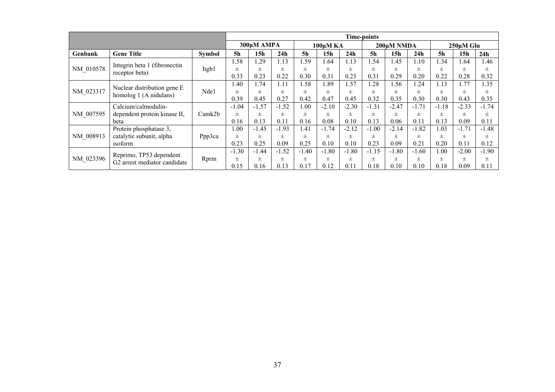|           |                                                         |        |                  |            | <b>Time-points</b> |                |                 |         |                |                 |                 |                |                 |         |  |
|-----------|---------------------------------------------------------|--------|------------------|------------|--------------------|----------------|-----------------|---------|----------------|-----------------|-----------------|----------------|-----------------|---------|--|
|           |                                                         |        |                  | 300µM AMPA |                    |                | 100uM KA        |         | 200uM NMDA     |                 |                 |                | $250 \mu M$ Glu |         |  |
| Genbank   | <b>Gene Title</b>                                       | Symbol | 5h               | 15h        | 24 <sub>h</sub>    | 5 <sub>h</sub> | 15 <sub>h</sub> | 24h     | 5 <sub>h</sub> | 15 <sub>h</sub> | 24 <sub>h</sub> | 5 <sub>h</sub> | 15h             | 24h     |  |
|           | Integrin beta 1 (fibronectin                            |        | .58              | .29        | .13                | .59            | .64             | 1.13    | 1.54           | 1.45            | 1.10            | 1.34           | 1.64            | .46     |  |
| NM 010578 | receptor beta)                                          | Itgb1  | Ŧ                | $\pm$      | $_{\pm}$           | 士              | 士               | 士       | 士              | 士               | 士               | $\pm$          | $\pm$           | $\pm$   |  |
|           |                                                         |        | 0.33             | 0.23       | 0.22               | 0.30           | 0.31            | 0.23    | 0.31           | 0.29            | 0.20            | 0.22           | 0.28            | 0.32    |  |
|           |                                                         |        | $\overline{.40}$ | 1.74       | .11                | .58            | .89             | 1.57    | .28            | l.56            | 1.24            | 1.13           | 1.77            | .35     |  |
| NM 023317 | Nuclear distribution gene E                             | Nde1   | 士                | $\pm$      | $_{\pm}$           | $\pm$          | 士               | $\pm$   | $\pm$          | $\pm$           | 士               | $\pm$          | $\pm$           | $\pm$   |  |
|           | homolog 1 (A nidulans)                                  |        | 0.39             | 0.45       | 0.27               | 0.42           | 0.47            | 0.45    | 0.32           | 0.35            | 0.30            | 0.30           | 0.43            | 0.35    |  |
|           | Calcium/calmodulin-                                     |        | $-1.04$          | $-1.57$    | $-1.52$            | .00            | $-2.10$         | $-2.30$ | $-1.31$        | $-2.47$         | $-1.71$         | $-1.18$        | $-2.33$         | $-1.74$ |  |
| NM 007595 | dependent protein kinase II,                            | Camk2b | 士                | $\pm$      | $_{\pm}$           | 士              | 士               | $\pm$   | 士              | $_{\pm}$        | 士               | Ŧ              | $\pm$           | $\pm$   |  |
|           | beta                                                    |        | 0.16             | 0.13       | 0.11               | 0.16           | 0.08            | 0.10    | 0.13           | 0.06            | 0.11            | 0.13           | 0.09            | 0.11    |  |
|           | Protein phosphatase 3,                                  |        | 1.00             | $-1.45$    | $-1.93$            | 1.41           | $-1.74$         | $-2.12$ | $-1.00$        | $-2.14$         | $-1.82$         | 1.03           | $-1.71$         | $-1.48$ |  |
| NM 008913 | catalytic subunit, alpha                                | Ppp3ca | 士                | 士          | 士                  | $_{\pm}$       |                 | 士       | 士              | 士               | 士               | 士              | $\pm$           | 士       |  |
|           | isoform                                                 |        | 0.23             | 0.25       | 0.09               | 0.25           | 0.10            | 0.10    | 0.23           | 0.09            | 0.21            | 0.20           | $0.1^{\circ}$   | 0.12    |  |
|           |                                                         |        | $-1.30$          | $-1.44$    | $-1.52$            | $-1.40$        | $-1.80$         | $-1.80$ | $-1.15$        | $-1.80$         | $-1.60$         | 1.00           | $-2.00$         | $-1.90$ |  |
| NM 023396 | Reprimo, TP53 dependent<br>G2 arrest mediator candidate | Rprm   | $\pm$            | 士          | $_{\pm}$           | $_{\pm}$       | 士               | 士       | 士              | $\pm$           | $\pm$           | $\pm$          | $\pm$           | $\pm$   |  |
|           |                                                         |        | 0.15             | 0.16       | 0.13               | 0.17           | 0.12            |         | 0.18           | 0.10            | 0.10            | 0.18           | 0.09            | 0.11    |  |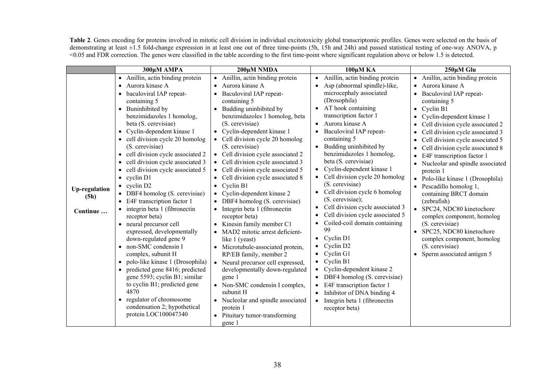**Table 2**. Genes encoding for proteins involved in mitotic cell division in individual excitotoxicity global transcriptomic profiles. Genes were selected on the basis of demonstrating at least ±1.5 fold-change expression in at least one out of three time-points (5h, 15h and 24h) and passed statistical testing of one-way ANOVA, p <0.05 and FDR correction. The genes were classified in the table according to the first time-point where significant regulation above or below 1.5 is detected.

|                              | 300µM AMPA                                                                                                                                                                                                                                                                                                                                                                                                                                                                                                                                            | 200μM NMDA                                                                                                                                                                                                                                                                                                                                                                                                                                                                                                                                           | 100μMKA                                                                                                                                                                                                                                                                                                                                                                                                                                                                                                                                 | 250µM Glu                                                                                                                                                                                                                                                                                                                                                                                                                                                                                                                           |
|------------------------------|-------------------------------------------------------------------------------------------------------------------------------------------------------------------------------------------------------------------------------------------------------------------------------------------------------------------------------------------------------------------------------------------------------------------------------------------------------------------------------------------------------------------------------------------------------|------------------------------------------------------------------------------------------------------------------------------------------------------------------------------------------------------------------------------------------------------------------------------------------------------------------------------------------------------------------------------------------------------------------------------------------------------------------------------------------------------------------------------------------------------|-----------------------------------------------------------------------------------------------------------------------------------------------------------------------------------------------------------------------------------------------------------------------------------------------------------------------------------------------------------------------------------------------------------------------------------------------------------------------------------------------------------------------------------------|-------------------------------------------------------------------------------------------------------------------------------------------------------------------------------------------------------------------------------------------------------------------------------------------------------------------------------------------------------------------------------------------------------------------------------------------------------------------------------------------------------------------------------------|
| <b>Up-regulation</b><br>(5h) | • Anillin, actin binding protein<br>Aurora kinase A<br>baculoviral IAP repeat-<br>containing 5<br>• Buninhibited by<br>benzimidazoles 1 homolog,<br>beta (S. cerevisiae)<br>Cyclin-dependent kinase 1<br>$\bullet$<br>• cell division cycle 20 homolog<br>(S. cerevisiae)<br>• cell division cycle associated 2<br>• cell division cycle associated 3<br>• cell division cycle associated 5<br>$\bullet$ cyclin D1<br>$\bullet$ cyclin D2<br>• DBF4 homolog (S. cerevisiae)<br>• E4F transcription factor 1<br>$\bullet$ integrin beta 1 (fibronectin | • Anillin, actin binding protein<br>Aurora kinase A<br>Baculoviral IAP repeat-<br>containing 5<br>• Budding uninhibited by<br>benzimidazoles 1 homolog, beta<br>(S. cerevisiae)<br>• Cyclin-dependent kinase 1<br>• Cell division cycle 20 homolog<br>(S. cerevisiae)<br>• Cell division cycle associated 2<br>• Cell division cycle associated 3<br>Cell division cycle associated 5<br>Cell division cycle associated 8<br>Cyclin B1<br>$\bullet$<br>• Cyclin-dependent kinase 2<br>• DBF4 homolog (S. cerevisiae)<br>Integrin beta 1 (fibronectin | • Anillin, actin binding protein<br>Asp (abnormal spindle)-like,<br>microcephaly associated<br>(Drosophila)<br>AT hook containing<br>$\bullet$<br>transcription factor 1<br>Aurora kinase A<br>Baculoviral IAP repeat-<br>containing 5<br>Budding uninhibited by<br>$\bullet$<br>benzimidazoles 1 homolog,<br>beta (S. cerevisiae)<br>Cyclin-dependent kinase 1<br>Cell division cycle 20 homolog<br>(S. cerevisiae)<br>Cell division cycle 6 homolog<br>$\bullet$<br>(S. cerevisiae);<br>Cell division cycle associated 3<br>$\bullet$ | • Anillin, actin binding protein<br>Aurora kinase A<br>Baculoviral IAP repeat-<br>containing 5<br>$\bullet$ Cyclin B1<br>Cyclin-dependent kinase 1<br>Cell division cycle associated 2<br>Cell division cycle associated 3<br>Cell division cycle associated 5<br>Cell division cycle associated 8<br>$\bullet$<br>E4F transcription factor 1<br>• Nucleolar and spindle associated<br>protein 1<br>• Polo-like kinase 1 (Drosophila)<br>Pescadillo homolog 1,<br>containing BRCT domain<br>(zebrafish)<br>SPC24, NDC80 kinetochore |
| Continue                     | receptor beta)<br>• neural precursor cell<br>expressed, developmentally<br>down-regulated gene 9<br>non-SMC condensin I<br>complex, subunit H<br>• polo-like kinase 1 (Drosophila)<br>• predicted gene 8416; predicted<br>gene 5593; cyclin B1; similar<br>to cyclin B1; predicted gene<br>4870<br>regulator of chromosome<br>$\bullet$<br>condensation 2; hypothetical<br>protein LOC100047340                                                                                                                                                       | receptor beta)<br>• Kinesin family member C1<br>• MAD2 mitotic arrest deficient-<br>like 1 (yeast)<br>• Microtubule-associated protein,<br>RP/EB family, member 2<br>• Neural precursor cell expressed,<br>developmentally down-regulated<br>gene 1<br>• Non-SMC condensin I complex,<br>subunit H<br>• Nucleolar and spindle associated<br>protein 1<br>• Pituitary tumor-transforming<br>gene 1                                                                                                                                                    | Cell division cycle associated 5<br>Coiled-coil domain containing<br>99<br>Cyclin D1<br>Cyclin D <sub>2</sub><br>Cyclin G1<br>$\bullet$ Cyclin B1<br>Cyclin-dependent kinase 2<br>DBF4 homolog (S. cerevisiae)<br>E4F transcription factor 1<br>Inhibitor of DNA binding 4<br>Integrin beta 1 (fibronectin<br>$\bullet$<br>receptor beta)                                                                                                                                                                                               | complex component, homolog<br>(S. cerevisiae)<br>SPC25, NDC80 kinetochore<br>$\bullet$<br>complex component, homolog<br>(S. cerevisiae)<br>Sperm associated antigen 5                                                                                                                                                                                                                                                                                                                                                               |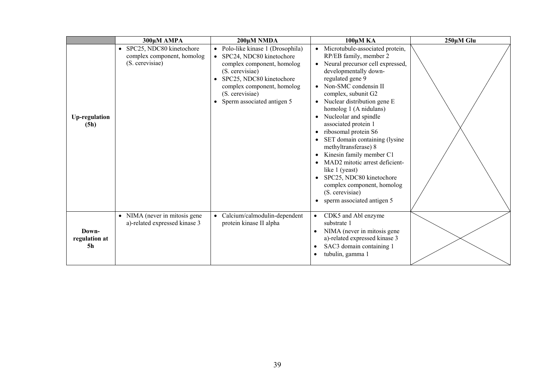|                              | 300µM AMPA                                                                             | 200μM NMDA                                                                                                                                                                                                                             | 100μM KA                                                                                                                                                                                                                                                                                                                                                                                                                                                                                                                                                                                                                                                                   | 250µM Glu |
|------------------------------|----------------------------------------------------------------------------------------|----------------------------------------------------------------------------------------------------------------------------------------------------------------------------------------------------------------------------------------|----------------------------------------------------------------------------------------------------------------------------------------------------------------------------------------------------------------------------------------------------------------------------------------------------------------------------------------------------------------------------------------------------------------------------------------------------------------------------------------------------------------------------------------------------------------------------------------------------------------------------------------------------------------------------|-----------|
| <b>Up-regulation</b><br>(5h) | SPC25, NDC80 kinetochore<br>$\bullet$<br>complex component, homolog<br>(S. cerevisiae) | • Polo-like kinase 1 (Drosophila)<br>SPC24, NDC80 kinetochore<br>complex component, homolog<br>(S. cerevisiae)<br>SPC25, NDC80 kinetochore<br>complex component, homolog<br>(S. cerevisiae)<br>Sperm associated antigen 5<br>$\bullet$ | Microtubule-associated protein,<br>RP/EB family, member 2<br>Neural precursor cell expressed,<br>$\bullet$<br>developmentally down-<br>regulated gene 9<br>Non-SMC condensin II<br>$\bullet$<br>complex, subunit G2<br>Nuclear distribution gene E<br>$\bullet$<br>homolog 1 (A nidulans)<br>Nucleolar and spindle<br>$\bullet$<br>associated protein 1<br>ribosomal protein S6<br>$\bullet$<br>SET domain containing (lysine<br>methyltransferase) 8<br>Kinesin family member C1<br>MAD2 mitotic arrest deficient-<br>like 1 (yeast)<br>SPC25, NDC80 kinetochore<br>$\bullet$<br>complex component, homolog<br>(S. cerevisiae)<br>sperm associated antigen 5<br>$\bullet$ |           |
| Down-<br>regulation at<br>5h | • NIMA (never in mitosis gene<br>a)-related expressed kinase 3                         | Calcium/calmodulin-dependent<br>$\bullet$<br>protein kinase II alpha                                                                                                                                                                   | CDK5 and Abl enzyme<br>substrate 1<br>NIMA (never in mitosis gene<br>$\bullet$<br>a)-related expressed kinase 3<br>SAC3 domain containing 1<br>tubulin, gamma 1                                                                                                                                                                                                                                                                                                                                                                                                                                                                                                            |           |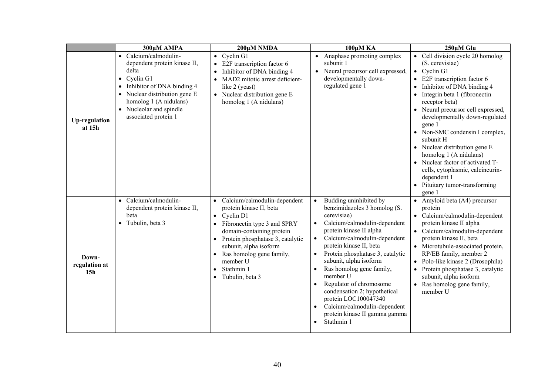|                                           | 300µM AMPA                                                                                                                                                                                                                                     | 200μM NMDA                                                                                                                                                                                                                                                                                                                  | 100μM KA                                                                                                                                                                                                                                                                                                                                                                                                                                                                                                                                                       | 250µM Glu                                                                                                                                                                                                                                                                                                                                                                                                                                                                                                                                               |
|-------------------------------------------|------------------------------------------------------------------------------------------------------------------------------------------------------------------------------------------------------------------------------------------------|-----------------------------------------------------------------------------------------------------------------------------------------------------------------------------------------------------------------------------------------------------------------------------------------------------------------------------|----------------------------------------------------------------------------------------------------------------------------------------------------------------------------------------------------------------------------------------------------------------------------------------------------------------------------------------------------------------------------------------------------------------------------------------------------------------------------------------------------------------------------------------------------------------|---------------------------------------------------------------------------------------------------------------------------------------------------------------------------------------------------------------------------------------------------------------------------------------------------------------------------------------------------------------------------------------------------------------------------------------------------------------------------------------------------------------------------------------------------------|
| <b>Up-regulation</b><br>at 15h            | • Calcium/calmodulin-<br>dependent protein kinase II,<br>delta<br>$\bullet$ Cyclin G1<br>Inhibitor of DNA binding 4<br>$\bullet$<br>• Nuclear distribution gene E<br>homolog 1 (A nidulans)<br>• Nucleolar and spindle<br>associated protein 1 | $\bullet$ Cyclin G1<br>• E2F transcription factor 6<br>Inhibitor of DNA binding 4<br>$\bullet$<br>MAD2 mitotic arrest deficient-<br>like 2 (yeast)<br>• Nuclear distribution gene E<br>homolog 1 (A nidulans)                                                                                                               | • Anaphase promoting complex<br>subunit 1<br>• Neural precursor cell expressed,<br>developmentally down-<br>regulated gene 1                                                                                                                                                                                                                                                                                                                                                                                                                                   | • Cell division cycle 20 homolog<br>(S. cerevisiae)<br>$\bullet$ Cyclin G1<br>$\bullet$ E2F transcription factor 6<br>Inhibitor of DNA binding 4<br>$\bullet$<br>Integrin beta 1 (fibronectin<br>$\bullet$<br>receptor beta)<br>• Neural precursor cell expressed,<br>developmentally down-regulated<br>gene 1<br>• Non-SMC condensin I complex,<br>subunit H<br>• Nuclear distribution gene E<br>homolog 1 (A nidulans)<br>Nuclear factor of activated T-<br>cells, cytoplasmic, calcineurin-<br>dependent 1<br>Pituitary tumor-transforming<br>gene 1 |
| Down-<br>regulation at<br>15 <sub>h</sub> | Calcium/calmodulin-<br>$\bullet$<br>dependent protein kinase II,<br>beta<br>• Tubulin, beta 3                                                                                                                                                  | Calcium/calmodulin-dependent<br>$\bullet$<br>protein kinase II, beta<br>Cyclin D1<br>$\bullet$<br>Fibronectin type 3 and SPRY<br>$\bullet$<br>domain-containing protein<br>Protein phosphatase 3, catalytic<br>$\bullet$<br>subunit, alpha isoform<br>Ras homolog gene family,<br>member U<br>Stathmin 1<br>Tubulin, beta 3 | Budding uninhibited by<br>benzimidazoles 3 homolog (S.<br>cerevisiae)<br>Calcium/calmodulin-dependent<br>$\bullet$<br>protein kinase II alpha<br>Calcium/calmodulin-dependent<br>$\bullet$<br>protein kinase II, beta<br>Protein phosphatase 3, catalytic<br>$\bullet$<br>subunit, alpha isoform<br>Ras homolog gene family,<br>$\bullet$<br>member U<br>Regulator of chromosome<br>$\bullet$<br>condensation 2; hypothetical<br>protein LOC100047340<br>Calcium/calmodulin-dependent<br>$\bullet$<br>protein kinase II gamma gamma<br>Stathmin 1<br>$\bullet$ | • Amyloid beta $(A4)$ precursor<br>protein<br>• Calcium/calmodulin-dependent<br>protein kinase II alpha<br>• Calcium/calmodulin-dependent<br>protein kinase II, beta<br>• Microtubule-associated protein,<br>RP/EB family, member 2<br>• Polo-like kinase 2 (Drosophila)<br>• Protein phosphatase 3, catalytic<br>subunit, alpha isoform<br>• Ras homolog gene family,<br>member U                                                                                                                                                                      |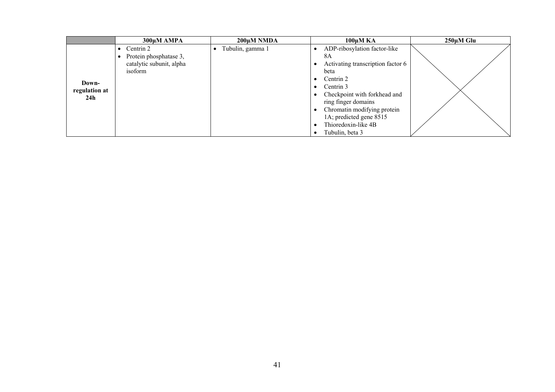|                        | 300µM AMPA               | 200μM NMDA       | $100\mu M K$ A                            | $250 \mu M$ Glu |
|------------------------|--------------------------|------------------|-------------------------------------------|-----------------|
|                        | Centrin 2                | Tubulin, gamma 1 | ADP-ribosylation factor-like              |                 |
|                        | Protein phosphatase 3,   |                  | 8A                                        |                 |
|                        | catalytic subunit, alpha |                  | Activating transcription factor 6         |                 |
|                        | isoform                  |                  | beta                                      |                 |
|                        |                          |                  | Centrin 2<br>$\bullet$                    |                 |
| Down-<br>regulation at |                          |                  | • Centrin $3$                             |                 |
| 24h                    |                          |                  | Checkpoint with forkhead and<br>$\bullet$ |                 |
|                        |                          |                  | ring finger domains                       |                 |
|                        |                          |                  | • Chromatin modifying protein             |                 |
|                        |                          |                  | 1A; predicted gene 8515                   |                 |
|                        |                          |                  | Thioredoxin-like 4B                       |                 |
|                        |                          |                  | Tubulin, beta 3                           |                 |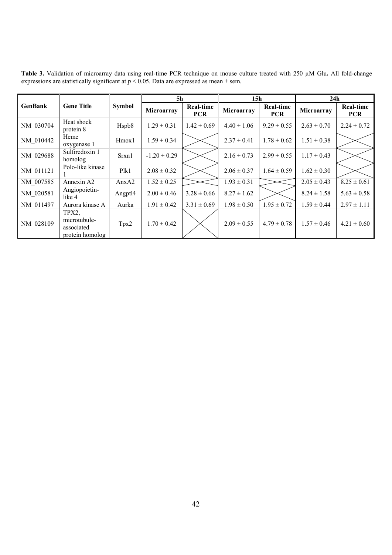|                |                                                        |               | 5h               |                                | 15 <sub>h</sub> |                                | 24h             |                                |
|----------------|--------------------------------------------------------|---------------|------------------|--------------------------------|-----------------|--------------------------------|-----------------|--------------------------------|
| <b>GenBank</b> | <b>Gene Title</b>                                      | <b>Symbol</b> | Microarray       | <b>Real-time</b><br><b>PCR</b> | Microarray      | <b>Real-time</b><br><b>PCR</b> | Microarray      | <b>Real-time</b><br><b>PCR</b> |
| NM 030704      | Heat shock<br>protein 8                                | Hspb8         | $1.29 \pm 0.31$  | $1.42 \pm 0.69$                | $4.40 \pm 1.06$ | $9.29 \pm 0.55$                | $2.63 \pm 0.70$ | $2.24 \pm 0.72$                |
| NM 010442      | Heme<br>oxygenase 1                                    | Hmox1         | $1.59 \pm 0.34$  |                                | $2.37 \pm 0.41$ | $1.78 \pm 0.62$                | $1.51 \pm 0.38$ |                                |
| NM 029688      | Sulfiredoxin 1<br>homolog                              | Srxn1         | $-1.20 \pm 0.29$ |                                | $2.16 \pm 0.73$ | $2.99 \pm 0.55$                | $1.17 \pm 0.43$ |                                |
| NM 011121      | Polo-like kinase                                       | Plk1          | $2.08 \pm 0.32$  |                                | $2.06 \pm 0.37$ | $1.64 \pm 0.59$                | $1.62 \pm 0.30$ |                                |
| NM 007585      | Annexin A2                                             | AnxA2         | $1.52 \pm 0.25$  |                                | $1.93 \pm 0.31$ |                                | $2.05 \pm 0.43$ | $8.25 \pm 0.61$                |
| NM_020581      | Angiopoietin-<br>like 4                                | Angptl4       | $2.00 \pm 0.46$  | $3.28 \pm 0.66$                | $8.27 \pm 1.62$ |                                | $8.24 \pm 1.58$ | $5.63 \pm 0.58$                |
| NM 011497      | Aurora kinase A                                        | Aurka         | $1.91 \pm 0.42$  | $3.31 \pm 0.69$                | $1.98 \pm 0.50$ | $1.95 \pm 0.72$                | $1.59 \pm 0.44$ | $2.97 \pm 1.11$                |
| NM 028109      | TPX2,<br>microtubule-<br>associated<br>protein homolog | Tpx2          | $1.70 \pm 0.42$  |                                | $2.09 \pm 0.55$ | $4.79 \pm 0.78$                | $1.57 \pm 0.46$ | $4.21 \pm 0.60$                |

**Table 3.** Validation of microarray data using real-time PCR technique on mouse culture treated with 250 µM Glu**.** All fold-change expressions are statistically significant at  $p < 0.05$ . Data are expressed as mean  $\pm$  sem.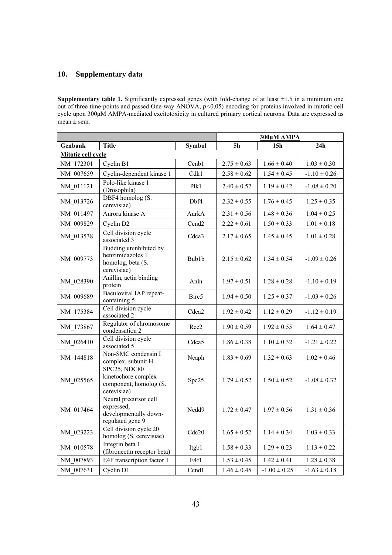### **10. Supplementary data**

**Supplementary table 1.** Significantly expressed genes (with fold-change of at least  $\pm 1.5$  in a minimum one out of three time-points and passed One-way ANOVA, *p<*0.05) encoding for proteins involved in mitotic cell cycle upon 300μM AMPA-mediated excitotoxicity in cultured primary cortical neurons. Data are expressed as mean  $\pm$  sem.

|                    |                                                                                  |                   | 300µM AMPA      |                  |                  |  |  |
|--------------------|----------------------------------------------------------------------------------|-------------------|-----------------|------------------|------------------|--|--|
| Genbank            | <b>Title</b>                                                                     | <b>Symbol</b>     | 5 <sub>h</sub>  | 15 <sub>h</sub>  | 24h              |  |  |
| Mitotic cell cycle |                                                                                  |                   |                 |                  |                  |  |  |
| NM 172301          | Cyclin B1                                                                        | Ccnb1             | $2.75 \pm 0.63$ | $1.66 \pm 0.40$  | $1.03 \pm 0.30$  |  |  |
| NM 007659          | Cyclin-dependent kinase 1                                                        | Cdk1              | $2.58 \pm 0.62$ | $1.54 \pm 0.45$  | $-1.10 \pm 0.26$ |  |  |
| NM 011121          | Polo-like kinase 1<br>(Drosophila)                                               | Plk1              | $2.40 \pm 0.52$ | $1.19 \pm 0.42$  | $-1.08 \pm 0.20$ |  |  |
| NM 013726          | DBF4 homolog (S.<br>cerevisiae)                                                  | Dbf4              | $2.32\pm0.55$   | $1.76 \pm 0.45$  | $1.25 \pm 0.35$  |  |  |
| NM 011497          | Aurora kinase A                                                                  | AurkA             | $2.31 \pm 0.56$ | $1.48 \pm 0.36$  | $1.04 \pm 0.25$  |  |  |
| NM_009829          | Cyclin D2                                                                        | Ccnd <sub>2</sub> | $2.22 \pm 0.61$ | $1.50 \pm 0.33$  | $1.01 \pm 0.18$  |  |  |
| NM 013538          | Cell division cycle<br>associated 3                                              | Cdca3             | $2.17 \pm 0.65$ | $1.45 \pm 0.45$  | $1.01 \pm 0.28$  |  |  |
| NM 009773          | Budding uninhibited by<br>benzimidazoles 1<br>homolog, beta (S.<br>cerevisiae)   | Bub1b             | $2.15 \pm 0.62$ | $1.34 \pm 0.54$  | $-1.09 \pm 0.26$ |  |  |
| NM 028390          | Anillin, actin binding<br>protein                                                | Anln              | $1.97 \pm 0.51$ | $1.28 \pm 0.28$  | $-1.10 \pm 0.19$ |  |  |
| NM 009689          | Baculoviral IAP repeat-<br>containing 5                                          | Birc5             | $1.94 \pm 0.50$ | $1.25 \pm 0.37$  | $-1.03 \pm 0.26$ |  |  |
| NM 175384          | Cell division cycle<br>associated 2                                              | Cdca <sub>2</sub> | $1.92 \pm 0.42$ | $1.12 \pm 0.29$  | $-1.12 \pm 0.19$ |  |  |
| NM_173867          | Regulator of chromosome<br>condensation 2                                        | Rec2              | $1.90 \pm 0.59$ | $1.92 \pm 0.55$  | $1.64 \pm 0.47$  |  |  |
| NM 026410          | Cell division cycle<br>associated 5                                              | Cdca5             | $1.86 \pm 0.38$ | $1.10 \pm 0.32$  | $-1.21 \pm 0.22$ |  |  |
| NM_144818          | Non-SMC condensin I<br>complex, subunit H                                        | Ncaph             | $1.83 \pm 0.69$ | $1.32 \pm 0.63$  | $1.02 \pm 0.46$  |  |  |
| NM 025565          | SPC25, NDC80<br>kinetochore complex<br>component, homolog (S.<br>cerevisiae)     | Spc25             | $1.79 \pm 0.52$ | $1.50 \pm 0.52$  | $-1.08 \pm 0.32$ |  |  |
| NM_017464          | Neural precursor cell<br>expressed,<br>developmentally down-<br>regulated gene 9 | Nedd9             | $1.72 \pm 0.47$ | $1.97 \pm 0.56$  | $1.31 \pm 0.36$  |  |  |
| NM 023223          | Cell division cycle 20<br>homolog (S. cerevisiae)                                | Cdc20             | $1.65 \pm 0.52$ | $1.14 \pm 0.34$  | $1.03 \pm 0.33$  |  |  |
| NM_010578          | Integrin beta 1<br>(fibronectin receptor beta)                                   | Itgb1             | $1.58 \pm 0.33$ | $1.29 \pm 0.23$  | $1.13 \pm 0.22$  |  |  |
| NM 007893          | E4F transcription factor 1                                                       | E4f1              | $1.53 \pm 0.45$ | $1.42 \pm 0.41$  | $1.28 \pm 0.38$  |  |  |
| NM 007631          | Cyclin D1                                                                        | Ccnd1             | $1.46 \pm 0.45$ | $-1.00 \pm 0.25$ | $-1.63 \pm 0.18$ |  |  |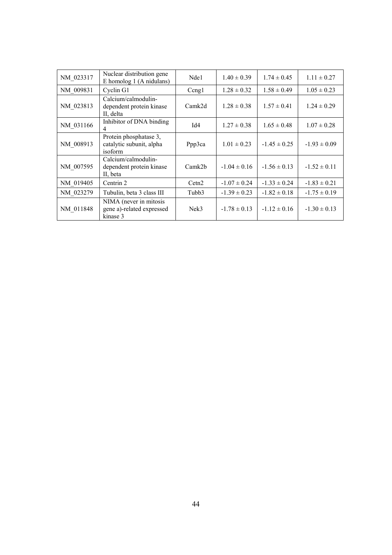| NM 023317 | Nuclear distribution gene<br>E homolog $1$ (A nidulans)         | Nde1   | $1.40 \pm 0.39$  | $1.74 \pm 0.45$  | $1.11 \pm 0.27$  |
|-----------|-----------------------------------------------------------------|--------|------------------|------------------|------------------|
| NM 009831 | Cyclin G1                                                       | Ceng1  | $1.28 \pm 0.32$  | $1.58 \pm 0.49$  | $1.05 \pm 0.23$  |
| NM_023813 | Calcium/calmodulin-<br>dependent protein kinase<br>II, delta    | Camk2d | $1.28 \pm 0.38$  | $1.57 \pm 0.41$  | $1.24 \pm 0.29$  |
| NM 031166 | Inhibitor of DNA binding<br>4                                   | Id4    | $1.27 \pm 0.38$  | $1.65 \pm 0.48$  | $1.07 \pm 0.28$  |
| NM 008913 | Protein phosphatase 3,<br>catalytic subunit, alpha<br>isoform   | Ppp3ca | $1.01 \pm 0.23$  | $-1.45 \pm 0.25$ | $-1.93 \pm 0.09$ |
| NM_007595 | Calcium/calmodulin-<br>dependent protein kinase<br>II, beta     | Camk2b | $-1.04 \pm 0.16$ | $-1.56 \pm 0.13$ | $-1.52 \pm 0.11$ |
| NM 019405 | Centrin 2                                                       | Cetn2  | $-1.07 \pm 0.24$ | $-1.33 \pm 0.24$ | $-1.83 \pm 0.21$ |
| NM 023279 | Tubulin, beta 3 class III                                       | Tubb3  | $-1.39 \pm 0.23$ | $-1.82 \pm 0.18$ | $-1.75 \pm 0.19$ |
| NM 011848 | NIMA (never in mitosis<br>gene a)-related expressed<br>kinase 3 | Nek3   | $-1.78 \pm 0.13$ | $-1.12 \pm 0.16$ | $-1.30 \pm 0.13$ |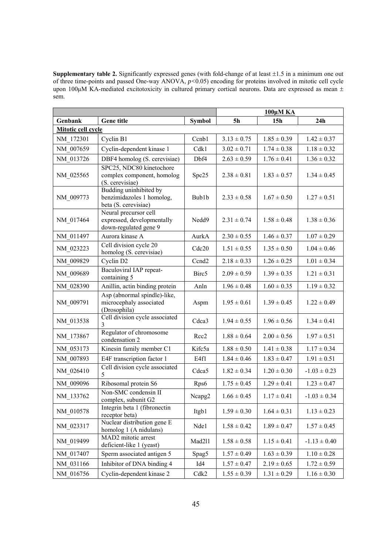**Supplementary table 2.** Significantly expressed genes (with fold-change of at least  $\pm 1.5$  in a minimum one out of three time-points and passed One-way ANOVA, *p<*0.05) encoding for proteins involved in mitotic cell cycle upon 100μM KA-mediated excitotoxicity in cultured primary cortical neurons. Data are expressed as mean ± sem.

|                    |                                                                              |                   | 100μM KA        |                 |                  |  |  |
|--------------------|------------------------------------------------------------------------------|-------------------|-----------------|-----------------|------------------|--|--|
| Genbank            | <b>Gene title</b>                                                            | <b>Symbol</b>     | <b>5h</b>       | 15 <sub>h</sub> | 24h              |  |  |
| Mitotic cell cycle |                                                                              |                   |                 |                 |                  |  |  |
| NM 172301          | Cyclin B1                                                                    | Ccnb1             | $3.13 \pm 0.75$ | $1.85 \pm 0.39$ | $1.42 \pm 0.37$  |  |  |
| NM 007659          | Cyclin-dependent kinase 1                                                    | Cdk1              | $3.02 \pm 0.71$ | $1.74 \pm 0.38$ | $1.18 \pm 0.32$  |  |  |
| NM 013726          | DBF4 homolog (S. cerevisiae)                                                 | Dbf4              | $2.63 \pm 0.59$ | $1.76 \pm 0.41$ | $1.36 \pm 0.32$  |  |  |
| NM 025565          | SPC25, NDC80 kinetochore<br>complex component, homolog<br>(S. cerevisiae)    | Spc25             | $2.38 \pm 0.81$ | $1.83 \pm 0.57$ | $1.34 \pm 0.45$  |  |  |
| NM_009773          | Budding uninhibited by<br>benzimidazoles 1 homolog,<br>beta (S. cerevisiae)  | Bub1b             | $2.33 \pm 0.58$ | $1.67 \pm 0.50$ | $1.27 \pm 0.51$  |  |  |
| NM 017464          | Neural precursor cell<br>expressed, developmentally<br>down-regulated gene 9 | Nedd9             | $2.31 \pm 0.74$ | $1.58 \pm 0.48$ | $1.38 \pm 0.36$  |  |  |
| NM 011497          | Aurora kinase A                                                              | AurkA             | $2.30 \pm 0.55$ | $1.46 \pm 0.37$ | $1.07 \pm 0.29$  |  |  |
| NM 023223          | Cell division cycle 20<br>homolog (S. cerevisiae)                            | Cdc20             | $1.51 \pm 0.55$ | $1.35 \pm 0.50$ | $1.04 \pm 0.46$  |  |  |
| NM_009829          | Cyclin D2                                                                    | Ccnd <sub>2</sub> | $2.18 \pm 0.33$ | $1.26 \pm 0.25$ | $1.01 \pm 0.34$  |  |  |
| NM 009689          | Baculoviral IAP repeat-<br>containing 5                                      | Birc <sub>5</sub> | $2.09 \pm 0.59$ | $1.39 \pm 0.35$ | $1.21 \pm 0.31$  |  |  |
| NM 028390          | Anillin, actin binding protein                                               | Anln              | $1.96 \pm 0.48$ | $1.60 \pm 0.35$ | $1.19 \pm 0.32$  |  |  |
| NM 009791          | Asp (abnormal spindle)-like,<br>microcephaly associated<br>(Drosophila)      | Aspm              | $1.95 \pm 0.61$ | $1.39 \pm 0.45$ | $1.22 \pm 0.49$  |  |  |
| NM_013538          | Cell division cycle associated<br>3                                          | Cdca3             | $1.94 \pm 0.55$ | $1.96 \pm 0.56$ | $1.34 \pm 0.41$  |  |  |
| NM_173867          | Regulator of chromosome<br>condensation 2                                    | Rcc <sub>2</sub>  | $1.88 \pm 0.64$ | $2.00 \pm 0.56$ | $1.97 \pm 0.51$  |  |  |
| NM 053173          | Kinesin family member C1                                                     | Kifc5a            | $1.88 \pm 0.50$ | $1.41 \pm 0.38$ | $1.17 \pm 0.34$  |  |  |
| NM 007893          | E4F transcription factor 1                                                   | E4f1              | $1.84 \pm 0.46$ | $1.83 \pm 0.47$ | $1.91 \pm 0.51$  |  |  |
| NM_026410          | Cell division cycle associated<br>5                                          | Cdca5             | $1.82 \pm 0.34$ | $1.20 \pm 0.30$ | $-1.03 \pm 0.23$ |  |  |
| NM 009096          | Ribosomal protein S6                                                         | Rps6              | $1.75 \pm 0.45$ | $1.29 \pm 0.41$ | $1.23 \pm 0.47$  |  |  |
| NM_133762          | Non-SMC condensin II<br>complex, subunit G2                                  | Ncapg2            | $1.66 \pm 0.45$ | $1.17 \pm 0.41$ | $-1.03 \pm 0.34$ |  |  |
| NM 010578          | Integrin beta 1 (fibronectin<br>receptor beta)                               | Itgb1             | $1.59 \pm 0.30$ | $1.64 \pm 0.31$ | $1.13 \pm 0.23$  |  |  |
| NM_023317          | Nuclear distribution gene E<br>homolog 1 (A nidulans)                        | Nde1              | $1.58 \pm 0.42$ | $1.89 \pm 0.47$ | $1.57 \pm 0.45$  |  |  |
| NM_019499          | MAD2 mitotic arrest<br>deficient-like 1 (yeast)                              | Mad211            | $1.58 \pm 0.58$ | $1.15 \pm 0.41$ | $-1.13 \pm 0.40$ |  |  |
| NM_017407          | Sperm associated antigen 5                                                   | Spag5             | $1.57 \pm 0.49$ | $1.63 \pm 0.39$ | $1.10 \pm 0.28$  |  |  |
| NM_031166          | Inhibitor of DNA binding 4                                                   | Id4               | $1.57 \pm 0.47$ | $2.19 \pm 0.65$ | $1.72 \pm 0.59$  |  |  |
| NM_016756          | Cyclin-dependent kinase 2                                                    | Cdk2              | $1.55 \pm 0.39$ | $1.31 \pm 0.29$ | $1.16 \pm 0.30$  |  |  |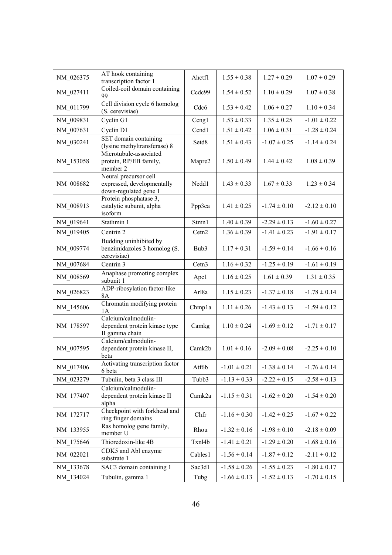| NM 026375 | AT hook containing<br>transcription factor 1                                 | Ahctf1            | $1.55 \pm 0.38$  | $1.27 \pm 0.29$  | $1.07 \pm 0.29$  |
|-----------|------------------------------------------------------------------------------|-------------------|------------------|------------------|------------------|
| NM 027411 | Coiled-coil domain containing<br>99                                          | Ccdc99            | $1.54 \pm 0.52$  | $1.10 \pm 0.29$  | $1.07 \pm 0.38$  |
| NM 011799 | Cell division cycle 6 homolog<br>(S. cerevisiae)                             | Cdc6              | $1.53 \pm 0.42$  | $1.06 \pm 0.27$  | $1.10 \pm 0.34$  |
| NM 009831 | Cyclin G1                                                                    | Ccngl             | $1.53 \pm 0.33$  | $1.35 \pm 0.25$  | $-1.01 \pm 0.22$ |
| NM_007631 | Cyclin D1                                                                    | Ccnd1             | $1.51 \pm 0.42$  | $1.06 \pm 0.31$  | $-1.28 \pm 0.24$ |
| NM_030241 | SET domain containing<br>(lysine methyltransferase) 8                        | Setd8             | $1.51 \pm 0.43$  | $-1.07 \pm 0.25$ | $-1.14 \pm 0.24$ |
| NM 153058 | Microtubule-associated<br>protein, RP/EB family,<br>member 2                 | Mapre2            | $1.50 \pm 0.49$  | $1.44 \pm 0.42$  | $1.08 \pm 0.39$  |
| NM_008682 | Neural precursor cell<br>expressed, developmentally<br>down-regulated gene 1 | Nedd1             | $1.43 \pm 0.33$  | $1.67 \pm 0.33$  | $1.23 \pm 0.34$  |
| NM_008913 | Protein phosphatase 3,<br>catalytic subunit, alpha<br>isoform                | Ppp3ca            | $1.41 \pm 0.25$  | $-1.74 \pm 0.10$ | $-2.12 \pm 0.10$ |
| NM 019641 | Stathmin 1                                                                   | Stmn1             | $1.40 \pm 0.39$  | $-2.29 \pm 0.13$ | $-1.60 \pm 0.27$ |
| NM 019405 | Centrin 2                                                                    | Cetn <sub>2</sub> | $1.36 \pm 0.39$  | $-1.41 \pm 0.23$ | $-1.91 \pm 0.17$ |
| NM 009774 | Budding uninhibited by<br>benzimidazoles 3 homolog (S.<br>cerevisiae)        | Bub3              | $1.17 \pm 0.31$  | $-1.59 \pm 0.14$ | $-1.66 \pm 0.16$ |
| NM 007684 | Centrin 3                                                                    | Cetn <sub>3</sub> | $1.16 \pm 0.32$  | $-1.25 \pm 0.19$ | $-1.61 \pm 0.19$ |
| NM_008569 | Anaphase promoting complex<br>subunit 1                                      | Apc1              | $1.16 \pm 0.25$  | $1.61 \pm 0.39$  | $1.31 \pm 0.35$  |
| NM_026823 | ADP-ribosylation factor-like<br>8A                                           | Arl <sub>8a</sub> | $1.15 \pm 0.23$  | $-1.37 \pm 0.18$ | $-1.78 \pm 0.14$ |
| NM 145606 | Chromatin modifying protein<br>1A                                            | Chmpla            | $1.11 \pm 0.26$  | $-1.43 \pm 0.13$ | $-1.59 \pm 0.12$ |
| NM_178597 | Calcium/calmodulin-<br>dependent protein kinase type<br>II gamma chain       | Camkg             | $1.10 \pm 0.24$  | $-1.69 \pm 0.12$ | $-1.71 \pm 0.17$ |
| NM_007595 | Calcium/calmodulin-<br>dependent protein kinase II,<br>beta                  | Camk2b            | $1.01 \pm 0.16$  | $-2.09 \pm 0.08$ | $-2.25 \pm 0.10$ |
| NM 017406 | Activating transcription factor<br>6 beta                                    | Atf6b             | $-1.01 \pm 0.21$ | $-1.38 \pm 0.14$ | $-1.76 \pm 0.14$ |
| NM 023279 | Tubulin, beta 3 class III                                                    | Tubb3             | $-1.13 \pm 0.33$ | $-2.22 \pm 0.15$ | $-2.58 \pm 0.13$ |
| NM 177407 | Calcium/calmodulin-<br>dependent protein kinase II<br>alpha                  | Camk2a            | $-1.15 \pm 0.31$ | $-1.62 \pm 0.20$ | $-1.54 \pm 0.20$ |
| NM_172717 | Checkpoint with forkhead and<br>ring finger domains                          | Chfr              | $-1.16 \pm 0.30$ | $-1.42 \pm 0.25$ | $-1.67 \pm 0.22$ |
| NM_133955 | Ras homolog gene family,<br>member U                                         | Rhou              | $-1.32 \pm 0.16$ | $-1.98 \pm 0.10$ | $-2.18 \pm 0.09$ |
| NM_175646 | Thioredoxin-like 4B                                                          | Txnl4b            | $-1.41 \pm 0.21$ | $-1.29 \pm 0.20$ | $-1.68 \pm 0.16$ |
| NM_022021 | CDK5 and Abl enzyme<br>substrate 1                                           | Cables1           | $-1.56 \pm 0.14$ | $-1.87 \pm 0.12$ | $-2.11 \pm 0.12$ |
| NM 133678 | SAC3 domain containing 1                                                     | Sac3d1            | $-1.58 \pm 0.26$ | $-1.55 \pm 0.23$ | $-1.80 \pm 0.17$ |
| NM 134024 | Tubulin, gamma 1                                                             | Tubg              | $-1.66 \pm 0.13$ | $-1.52 \pm 0.13$ | $-1.70 \pm 0.15$ |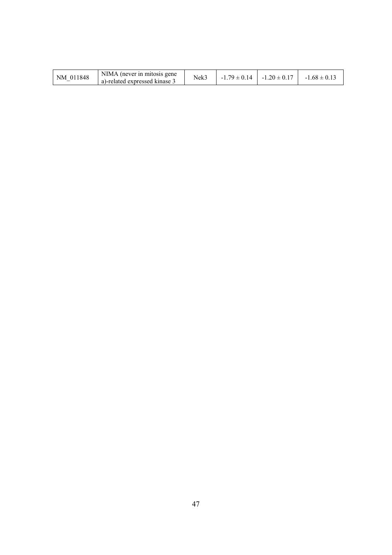| 011848<br>NΜ | NIMA (never in mitosis gene<br>a)-related expressed kinase 5 | Nek? | $\Omega$<br>J.14 | $.20 \pm$<br>$\cdot$ $\Omega$<br>- 1 | $1.68 \pm 0.1$ |
|--------------|--------------------------------------------------------------|------|------------------|--------------------------------------|----------------|
|--------------|--------------------------------------------------------------|------|------------------|--------------------------------------|----------------|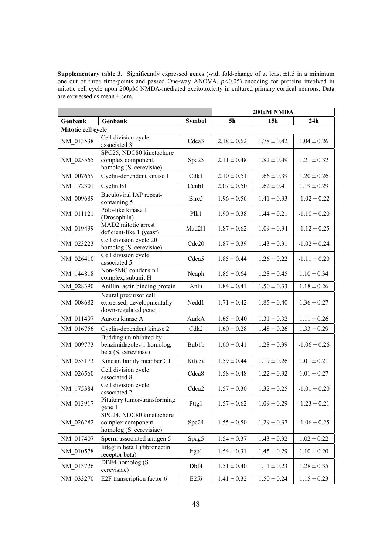**Supplementary table 3.** Significantly expressed genes (with fold-change of at least  $\pm 1.5$  in a minimum one out of three time-points and passed One-way ANOVA, *p<*0.05) encoding for proteins involved in mitotic cell cycle upon 200μM NMDA-mediated excitotoxicity in cultured primary cortical neurons. Data are expressed as mean  $\pm$  sem.

|                    |                                                                              |                   | 200μM NMDA      |                 |                  |  |  |  |
|--------------------|------------------------------------------------------------------------------|-------------------|-----------------|-----------------|------------------|--|--|--|
| Genbank            | Genbank                                                                      | <b>Symbol</b>     | <b>5h</b>       | 15 <sub>h</sub> | 24h              |  |  |  |
| Mitotic cell cycle |                                                                              |                   |                 |                 |                  |  |  |  |
| NM_013538          | Cell division cycle<br>associated 3                                          | Cdca3             | $2.18 \pm 0.62$ | $1.78 \pm 0.42$ | $1.04 \pm 0.26$  |  |  |  |
| NM_025565          | SPC25, NDC80 kinetochore<br>complex component,<br>homolog (S. cerevisiae)    | Spc25             | $2.11 \pm 0.48$ | $1.82 \pm 0.49$ | $1.21 \pm 0.32$  |  |  |  |
| NM_007659          | Cyclin-dependent kinase 1                                                    | Cdk1              | $2.10 \pm 0.51$ | $1.66 \pm 0.39$ | $1.20 \pm 0.26$  |  |  |  |
| NM_172301          | Cyclin B1                                                                    | Ccnb1             | $2.07 \pm 0.50$ | $1.62 \pm 0.41$ | $1.19 \pm 0.29$  |  |  |  |
| NM_009689          | Baculoviral IAP repeat-<br>containing 5                                      | Birc <sub>5</sub> | $1.96 \pm 0.56$ | $1.41 \pm 0.33$ | $-1.02 \pm 0.22$ |  |  |  |
| NM_011121          | Polo-like kinase 1<br>(Drosophila)                                           | Plk1              | $1.90 \pm 0.38$ | $1.44 \pm 0.21$ | $-1.10 \pm 0.20$ |  |  |  |
| NM_019499          | MAD2 mitotic arrest<br>deficient-like 1 (yeast)                              | Mad211            | $1.87 \pm 0.62$ | $1.09 \pm 0.34$ | $-1.12 \pm 0.25$ |  |  |  |
| NM 023223          | Cell division cycle 20<br>homolog (S. cerevisiae)                            | Cdc20             | $1.87 \pm 0.39$ | $1.43 \pm 0.31$ | $-1.02 \pm 0.24$ |  |  |  |
| NM 026410          | Cell division cycle<br>associated 5                                          | Cdca5             | $1.85 \pm 0.44$ | $1.26 \pm 0.22$ | $-1.11 \pm 0.20$ |  |  |  |
| NM 144818          | Non-SMC condensin I<br>complex, subunit H                                    | Ncaph             | $1.85 \pm 0.64$ | $1.28 \pm 0.45$ | $1.10 \pm 0.34$  |  |  |  |
| NM 028390          | Anillin, actin binding protein                                               | Anln              | $1.84 \pm 0.41$ | $1.50 \pm 0.33$ | $1.18 \pm 0.26$  |  |  |  |
| NM 008682          | Neural precursor cell<br>expressed, developmentally<br>down-regulated gene 1 | Nedd1             | $1.71 \pm 0.42$ | $1.85 \pm 0.40$ | $1.36 \pm 0.27$  |  |  |  |
| NM 011497          | Aurora kinase A                                                              | AurkA             | $1.65 \pm 0.40$ | $1.31 \pm 0.32$ | $1.11 \pm 0.26$  |  |  |  |
| NM 016756          | Cyclin-dependent kinase 2                                                    | Cdk2              | $1.60 \pm 0.28$ | $1.48 \pm 0.26$ | $1.33 \pm 0.29$  |  |  |  |
| NM 009773          | Budding uninhibited by<br>benzimidazoles 1 homolog,<br>beta (S. cerevisiae)  | Bub1b             | $1.60 \pm 0.41$ | $1.28 \pm 0.39$ | $-1.06 \pm 0.26$ |  |  |  |
| NM_053173          | Kinesin family member C1                                                     | Kifc5a            | $1.59 \pm 0.44$ | $1.19 \pm 0.26$ | $1.01 \pm 0.21$  |  |  |  |
| NM 026560          | Cell division cycle<br>associated 8                                          | Cdca8             | $1.58 \pm 0.48$ | $1.22 \pm 0.32$ | $1.01 \pm 0.27$  |  |  |  |
| NM_175384          | Cell division cycle<br>associated 2                                          | Cdca <sub>2</sub> | $1.57 \pm 0.30$ | $1.32 \pm 0.25$ | $-1.01 \pm 0.20$ |  |  |  |
| NM_013917          | Pituitary tumor-transforming<br>gene 1                                       | Pttg1             | $1.57 \pm 0.62$ | $1.09 \pm 0.29$ | $-1.23 \pm 0.21$ |  |  |  |
| NM 026282          | SPC24, NDC80 kinetochore<br>complex component,<br>homolog (S. cerevisiae)    | Spc24             | $1.55 \pm 0.50$ | $1.29 \pm 0.37$ | $-1.06 \pm 0.25$ |  |  |  |
| NM 017407          | Sperm associated antigen 5                                                   | Spag5             | $1.54 \pm 0.37$ | $1.43 \pm 0.32$ | $1.02 \pm 0.22$  |  |  |  |
| NM 010578          | Integrin beta 1 (fibronectin<br>receptor beta)                               | Itgb1             | $1.54 \pm 0.31$ | $1.45 \pm 0.29$ | $1.10 \pm 0.20$  |  |  |  |
| NM_013726          | DBF4 homolog (S.<br>cerevisiae)                                              | Dbf4              | $1.51 \pm 0.40$ | $1.11 \pm 0.23$ | $1.28 \pm 0.35$  |  |  |  |
| NM_033270          | E2F transcription factor 6                                                   | E <sub>2f6</sub>  | $1.41 \pm 0.32$ | $1.50 \pm 0.24$ | $1.15 \pm 0.23$  |  |  |  |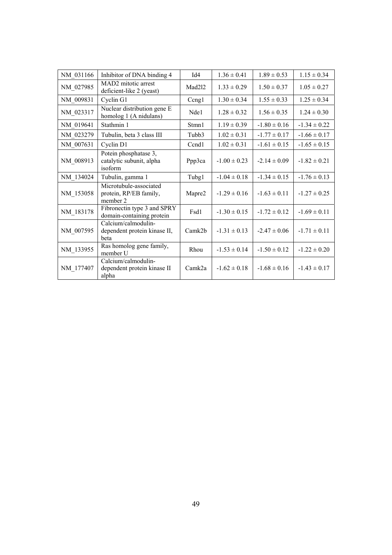| NM 031166 | Inhibitor of DNA binding 4                                   | Id4    | $1.36 \pm 0.41$  | $1.89 \pm 0.53$  | $1.15 \pm 0.34$  |
|-----------|--------------------------------------------------------------|--------|------------------|------------------|------------------|
| NM_027985 | MAD2 mitotic arrest<br>deficient-like 2 (yeast)              | Mad2l2 | $1.33 \pm 0.29$  | $1.50 \pm 0.37$  | $1.05 \pm 0.27$  |
| NM 009831 | Cyclin G1                                                    | Ccng1  | $1.30 \pm 0.34$  | $1.55 \pm 0.33$  | $1.25 \pm 0.34$  |
| NM_023317 | Nuclear distribution gene E<br>homolog 1 (A nidulans)        | Nde1   | $1.28 \pm 0.32$  | $1.56 \pm 0.35$  | $1.24 \pm 0.30$  |
| NM_019641 | Stathmin 1                                                   | Stmn1  | $1.19 \pm 0.39$  | $-1.80 \pm 0.16$ | $-1.34 \pm 0.22$ |
| NM 023279 | Tubulin, beta 3 class III                                    | Tubb3  | $1.02 \pm 0.31$  | $-1.77 \pm 0.17$ | $-1.66 \pm 0.17$ |
| NM_007631 | Cyclin D1                                                    | Ccnd1  | $1.02 \pm 0.31$  | $-1.61 \pm 0.15$ | $-1.65 \pm 0.15$ |
| NM_008913 | Potein phosphatase 3,<br>catalytic subunit, alpha<br>isoform | Ppp3ca | $-1.00 \pm 0.23$ | $-2.14 \pm 0.09$ | $-1.82 \pm 0.21$ |
| NM 134024 | Tubulin, gamma 1                                             | Tubg1  | $-1.04 \pm 0.18$ | $-1.34 \pm 0.15$ | $-1.76 \pm 0.13$ |
| NM_153058 | Microtubule-associated<br>protein, RP/EB family,<br>member 2 | Mapre2 | $-1.29 \pm 0.16$ | $-1.63 \pm 0.11$ | $-1.27 \pm 0.25$ |
| NM_183178 | Fibronectin type 3 and SPRY<br>domain-containing protein     | Fsd1   | $-1.30 \pm 0.15$ | $-1.72 \pm 0.12$ | $-1.69 \pm 0.11$ |
| NM 007595 | Calcium/calmodulin-<br>dependent protein kinase II,<br>beta  | Camk2b | $-1.31 \pm 0.13$ | $-2.47 \pm 0.06$ | $-1.71 \pm 0.11$ |
| NM_133955 | Ras homolog gene family,<br>member U                         | Rhou   | $-1.53 \pm 0.14$ | $-1.50 \pm 0.12$ | $-1.22 \pm 0.20$ |
| NM_177407 | Calcium/calmodulin-<br>dependent protein kinase II<br>alpha  | Camk2a | $-1.62 \pm 0.18$ | $-1.68 \pm 0.16$ | $-1.43 \pm 0.17$ |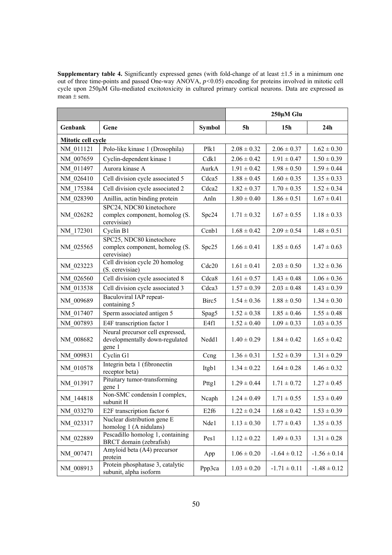**Supplementary table 4.** Significantly expressed genes (with fold-change of at least  $\pm 1.5$  in a minimum one out of three time-points and passed One-way ANOVA, *p<*0.05) encoding for proteins involved in mitotic cell cycle upon 250μM Glu-mediated excitotoxicity in cultured primary cortical neurons. Data are expressed as mean  $\pm$  sem.

|                           |                                                                              |                   | 250µM Glu       |                  |                  |  |
|---------------------------|------------------------------------------------------------------------------|-------------------|-----------------|------------------|------------------|--|
| Genbank                   | Gene                                                                         | <b>Symbol</b>     | <b>5h</b>       | 15 <sub>h</sub>  | 24h              |  |
| <b>Mitotic cell cycle</b> |                                                                              |                   |                 |                  |                  |  |
| NM 011121                 | Polo-like kinase 1 (Drosophila)                                              | Plk1              | $2.08 \pm 0.32$ | $2.06 \pm 0.37$  | $1.62 \pm 0.30$  |  |
| NM 007659                 | Cyclin-dependent kinase 1                                                    | Cdk1              | $2.06 \pm 0.42$ | $1.91 \pm 0.47$  | $1.50 \pm 0.39$  |  |
| NM 011497                 | Aurora kinase A                                                              | AurkA             | $1.91 \pm 0.42$ | $1.98 \pm 0.50$  | $1.59 \pm 0.44$  |  |
| NM 026410                 | Cell division cycle associated 5                                             | Cdca5             | $1.88 \pm 0.45$ | $1.60 \pm 0.35$  | $1.35 \pm 0.33$  |  |
| NM 175384                 | Cell division cycle associated 2                                             | Cdca <sub>2</sub> | $1.82 \pm 0.37$ | $1.70 \pm 0.35$  | $1.52 \pm 0.34$  |  |
| NM 028390                 | Anillin, actin binding protein                                               | Anln              | $1.80 \pm 0.40$ | $1.86 \pm 0.51$  | $1.67 \pm 0.41$  |  |
| NM 026282                 | SPC24, NDC80 kinetochore<br>complex component, homolog (S.<br>cerevisiae)    | Spc24             | $1.71 \pm 0.32$ | $1.67 \pm 0.55$  | $1.18 \pm 0.33$  |  |
| NM 172301                 | Cyclin B1                                                                    | Ccnb1             | $1.68 \pm 0.42$ | $2.09 \pm 0.54$  | $1.48 \pm 0.51$  |  |
| NM 025565                 | SPC25, NDC80 kinetochore<br>complex component, homolog (S.<br>cerevisiae)    | Spc25             | $1.66 \pm 0.41$ | $1.85 \pm 0.65$  | $1.47 \pm 0.63$  |  |
| NM_023223                 | Cell division cycle 20 homolog<br>(S. cerevisiae)                            | Cdc20             | $1.61 \pm 0.41$ | $2.03 \pm 0.50$  | $1.32 \pm 0.36$  |  |
| NM 026560                 | Cell division cycle associated 8                                             | Cdca8             | $1.61 \pm 0.57$ | $1.43 \pm 0.48$  | $1.06 \pm 0.36$  |  |
| NM 013538                 | Cell division cycle associated 3                                             | Cdca3             | $1.57 \pm 0.39$ | $2.03 \pm 0.48$  | $1.43 \pm 0.39$  |  |
| NM 009689                 | Baculoviral IAP repeat-<br>containing 5                                      | Birc <sub>5</sub> | $1.54 \pm 0.36$ | $1.88 \pm 0.50$  | $1.34 \pm 0.30$  |  |
| NM 017407                 | Sperm associated antigen 5                                                   | Spag5             | $1.52 \pm 0.38$ | $1.85 \pm 0.46$  | $1.55 \pm 0.48$  |  |
| NM 007893                 | E4F transcription factor 1                                                   | E4f1              | $1.52 \pm 0.40$ | $1.09 \pm 0.33$  | $1.03 \pm 0.35$  |  |
| NM 008682                 | Neural precursor cell expressed,<br>developmentally down-regulated<br>gene 1 | Nedd1             | $1.40 \pm 0.29$ | $1.84 \pm 0.42$  | $1.65 \pm 0.42$  |  |
| NM 009831                 | Cyclin G1                                                                    | Ccng              | $1.36 \pm 0.31$ | $1.52 \pm 0.39$  | $1.31 \pm 0.29$  |  |
| NM 010578                 | Integrin beta 1 (fibronectin<br>receptor beta)                               | Itgb1             | $1.34 \pm 0.22$ | $1.64 \pm 0.28$  | $1.46 \pm 0.32$  |  |
| NM_013917                 | Pituitary tumor-transforming<br>gene 1                                       | Pttg1             | $1.29 \pm 0.44$ | $1.71 \pm 0.72$  | $1.27 \pm 0.45$  |  |
| NM 144818                 | Non-SMC condensin I complex,<br>subunit H                                    | Ncaph             | $1.24 \pm 0.49$ | $1.71 \pm 0.55$  | $1.53 \pm 0.49$  |  |
| NM 033270                 | E2F transcription factor 6                                                   | E <sub>2f6</sub>  | $1.22 \pm 0.24$ | $1.68 \pm 0.42$  | $1.53 \pm 0.39$  |  |
| NM_023317                 | Nuclear distribution gene E<br>homolog 1 (A nidulans)                        | Nde1              | $1.13 \pm 0.30$ | $1.77 \pm 0.43$  | $1.35 \pm 0.35$  |  |
| NM 022889                 | Pescadillo homolog 1, containing<br>BRCT domain (zebrafish)                  | Pes1              | $1.12 \pm 0.22$ | $1.49 \pm 0.33$  | $1.31 \pm 0.28$  |  |
| NM_007471                 | Amyloid beta (A4) precursor<br>protein                                       | App               | $1.06 \pm 0.20$ | $-1.64 \pm 0.12$ | $-1.56 \pm 0.14$ |  |
| NM_008913                 | Protein phosphatase 3, catalytic<br>subunit, alpha isoform                   | Ppp3ca            | $1.03 \pm 0.20$ | $-1.71 \pm 0.11$ | $-1.48 \pm 0.12$ |  |